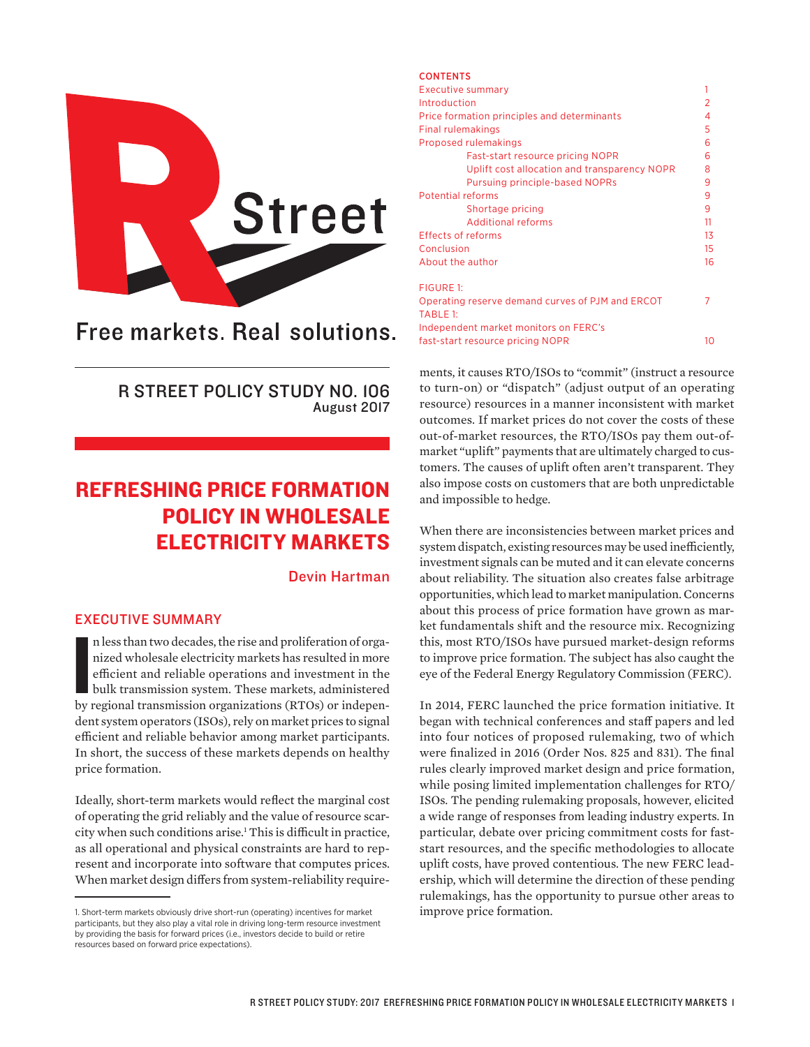

# Free markets. Real solutions.

R STREET POLICY STUDY NO. 106 August 2017

## REFRESHING PRICE FORMATION POLICY IN WHOLESALE ELECTRICITY MARKETS

#### Devin Hartman

## EXECUTIVE SUMMARY

n less than two decades, the rise and proliferation of organized wholesale electricity markets has resulted in more efficient and reliable operations and investment in the bulk transmission system. These markets, administe n less than two decades, the rise and proliferation of organized wholesale electricity markets has resulted in more efficient and reliable operations and investment in the bulk transmission system. These markets, administered dent system operators (ISOs), rely on market prices to signal efficient and reliable behavior among market participants. In short, the success of these markets depends on healthy price formation.

Ideally, short-term markets would reflect the marginal cost of operating the grid reliably and the value of resource scarcity when such conditions arise.1 This is difficult in practice, as all operational and physical constraints are hard to represent and incorporate into software that computes prices. When market design differs from system-reliability require-

| <b>CONTENTS</b>                                  |    |  |  |  |
|--------------------------------------------------|----|--|--|--|
| <b>Executive summary</b>                         |    |  |  |  |
| Introduction                                     |    |  |  |  |
| Price formation principles and determinants      |    |  |  |  |
| Final rulemakings                                |    |  |  |  |
| Proposed rulemakings                             |    |  |  |  |
| Fast-start resource pricing NOPR                 | 6  |  |  |  |
| Uplift cost allocation and transparency NOPR     | 8  |  |  |  |
| <b>Pursuing principle-based NOPRs</b>            | 9  |  |  |  |
| <b>Potential reforms</b>                         |    |  |  |  |
| Shortage pricing                                 | 9  |  |  |  |
| <b>Additional reforms</b>                        | 11 |  |  |  |
| <b>Effects of reforms</b>                        |    |  |  |  |
| Conclusion                                       |    |  |  |  |
| About the author                                 | 16 |  |  |  |
| FIGURE 1:                                        |    |  |  |  |
| Operating reserve demand curves of PJM and ERCOT |    |  |  |  |
| <b>TABLE 1:</b>                                  |    |  |  |  |
| Independent market monitors on FERC's            |    |  |  |  |
| fast-start resource pricing NOPR                 |    |  |  |  |
|                                                  |    |  |  |  |

ments, it causes RTO/ISOs to "commit" (instruct a resource to turn-on) or "dispatch" (adjust output of an operating resource) resources in a manner inconsistent with market outcomes. If market prices do not cover the costs of these out-of-market resources, the RTO/ISOs pay them out-ofmarket "uplift" payments that are ultimately charged to customers. The causes of uplift often aren't transparent. They also impose costs on customers that are both unpredictable and impossible to hedge.

When there are inconsistencies between market prices and system dispatch, existing resources may be used inefficiently, investment signals can be muted and it can elevate concerns about reliability. The situation also creates false arbitrage opportunities, which lead to market manipulation. Concerns about this process of price formation have grown as market fundamentals shift and the resource mix. Recognizing this, most RTO/ISOs have pursued market-design reforms to improve price formation. The subject has also caught the eye of the Federal Energy Regulatory Commission (FERC).

In 2014, FERC launched the price formation initiative. It began with technical conferences and staff papers and led into four notices of proposed rulemaking, two of which were finalized in 2016 (Order Nos. 825 and 831). The final rules clearly improved market design and price formation, while posing limited implementation challenges for RTO/ ISOs. The pending rulemaking proposals, however, elicited a wide range of responses from leading industry experts. In particular, debate over pricing commitment costs for faststart resources, and the specific methodologies to allocate uplift costs, have proved contentious. The new FERC leadership, which will determine the direction of these pending rulemakings, has the opportunity to pursue other areas to improve price formation.

<sup>1.</sup> Short-term markets obviously drive short-run (operating) incentives for market participants, but they also play a vital role in driving long-term resource investment by providing the basis for forward prices (i.e., investors decide to build or retire resources based on forward price expectations).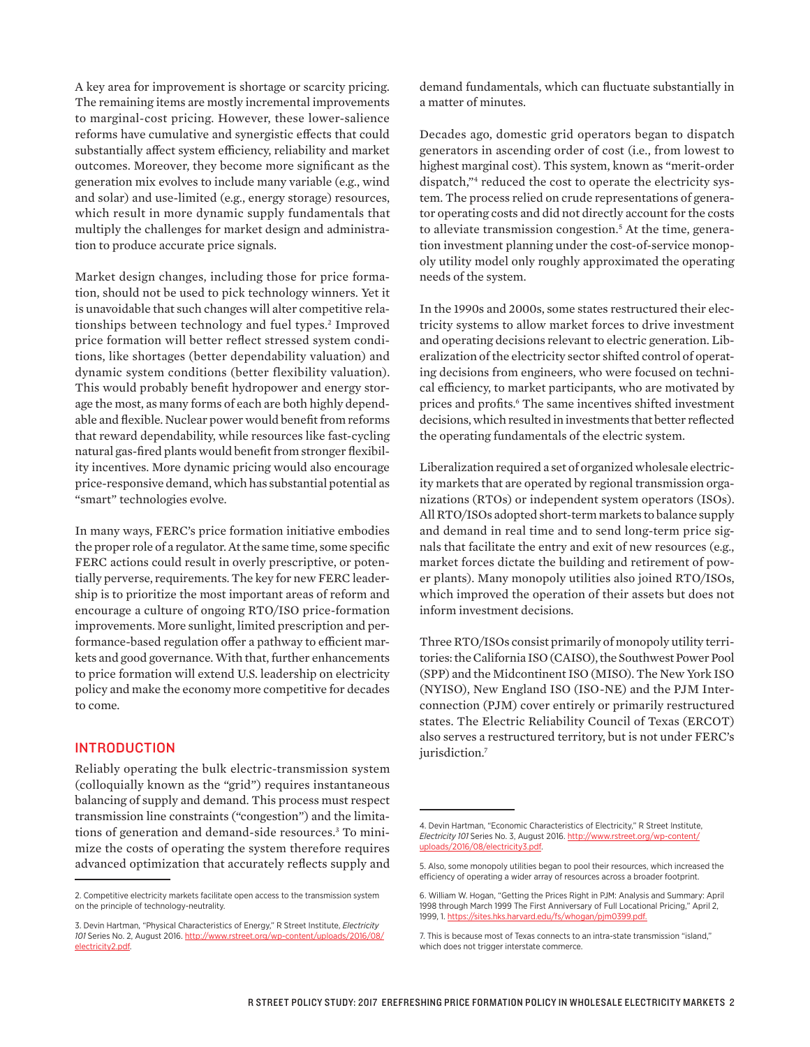A key area for improvement is shortage or scarcity pricing. The remaining items are mostly incremental improvements to marginal-cost pricing. However, these lower-salience reforms have cumulative and synergistic effects that could substantially affect system efficiency, reliability and market outcomes. Moreover, they become more significant as the generation mix evolves to include many variable (e.g., wind and solar) and use-limited (e.g., energy storage) resources, which result in more dynamic supply fundamentals that multiply the challenges for market design and administration to produce accurate price signals.

Market design changes, including those for price formation, should not be used to pick technology winners. Yet it is unavoidable that such changes will alter competitive relationships between technology and fuel types.<sup>2</sup> Improved price formation will better reflect stressed system conditions, like shortages (better dependability valuation) and dynamic system conditions (better flexibility valuation). This would probably benefit hydropower and energy storage the most, as many forms of each are both highly dependable and flexible. Nuclear power would benefit from reforms that reward dependability, while resources like fast-cycling natural gas-fired plants would benefit from stronger flexibility incentives. More dynamic pricing would also encourage price-responsive demand, which has substantial potential as "smart" technologies evolve.

In many ways, FERC's price formation initiative embodies the proper role of a regulator. At the same time, some specific FERC actions could result in overly prescriptive, or potentially perverse, requirements. The key for new FERC leadership is to prioritize the most important areas of reform and encourage a culture of ongoing RTO/ISO price-formation improvements. More sunlight, limited prescription and performance-based regulation offer a pathway to efficient markets and good governance. With that, further enhancements to price formation will extend U.S. leadership on electricity policy and make the economy more competitive for decades to come.

#### INTRODUCTION

Reliably operating the bulk electric-transmission system (colloquially known as the "grid") requires instantaneous balancing of supply and demand. This process must respect transmission line constraints ("congestion") and the limitations of generation and demand-side resources.3 To minimize the costs of operating the system therefore requires advanced optimization that accurately reflects supply and demand fundamentals, which can fluctuate substantially in a matter of minutes.

Decades ago, domestic grid operators began to dispatch generators in ascending order of cost (i.e., from lowest to highest marginal cost). This system, known as "merit-order dispatch,"4 reduced the cost to operate the electricity system. The process relied on crude representations of generator operating costs and did not directly account for the costs to alleviate transmission congestion.5 At the time, generation investment planning under the cost-of-service monopoly utility model only roughly approximated the operating needs of the system.

In the 1990s and 2000s, some states restructured their electricity systems to allow market forces to drive investment and operating decisions relevant to electric generation. Liberalization of the electricity sector shifted control of operating decisions from engineers, who were focused on technical efficiency, to market participants, who are motivated by prices and profits.<sup>6</sup> The same incentives shifted investment decisions, which resulted in investments that better reflected the operating fundamentals of the electric system.

Liberalization required a set of organized wholesale electricity markets that are operated by regional transmission organizations (RTOs) or independent system operators (ISOs). All RTO/ISOs adopted short-term markets to balance supply and demand in real time and to send long-term price signals that facilitate the entry and exit of new resources (e.g., market forces dictate the building and retirement of power plants). Many monopoly utilities also joined RTO/ISOs, which improved the operation of their assets but does not inform investment decisions.

Three RTO/ISOs consist primarily of monopoly utility territories: the California ISO (CAISO), the Southwest Power Pool (SPP) and the Midcontinent ISO (MISO). The New York ISO (NYISO), New England ISO (ISO-NE) and the PJM Interconnection (PJM) cover entirely or primarily restructured states. The Electric Reliability Council of Texas (ERCOT) also serves a restructured territory, but is not under FERC's jurisdiction.<sup>7</sup>

<sup>2.</sup> Competitive electricity markets facilitate open access to the transmission system on the principle of technology-neutrality.

<sup>3.</sup> Devin Hartman, "Physical Characteristics of Energy," R Street Institute, *Electricity 101* Series No. 2, August 2016. [http://www.rstreet.org/wp-content/uploads/2016/08/](http://www.rstreet.org/wp-content/uploads/2016/08/electricity2.pdf) [electricity2.pdf](http://www.rstreet.org/wp-content/uploads/2016/08/electricity2.pdf).

<sup>4.</sup> Devin Hartman, "Economic Characteristics of Electricity," R Street Institute, *Electricity 101* Series No. 3, August 2016. [http://www.rstreet.org/wp-content/](http://www.rstreet.org/wp-content/uploads/2016/08/electricity3.pdf) [uploads/2016/08/electricity3.pdf](http://www.rstreet.org/wp-content/uploads/2016/08/electricity3.pdf).

<sup>5.</sup> Also, some monopoly utilities began to pool their resources, which increased the efficiency of operating a wider array of resources across a broader footprint.

<sup>6.</sup> William W. Hogan, "Getting the Prices Right in PJM: Analysis and Summary: April 1998 through March 1999 The First Anniversary of Full Locational Pricing," April 2, 1999, 1. [https://sites.hks.harvard.edu/fs/whogan/pjm0399.pdf.](https://sites.hks.harvard.edu/fs/whogan/pjm0399.pdf)

<sup>7.</sup> This is because most of Texas connects to an intra-state transmission "island," which does not trigger interstate commerce.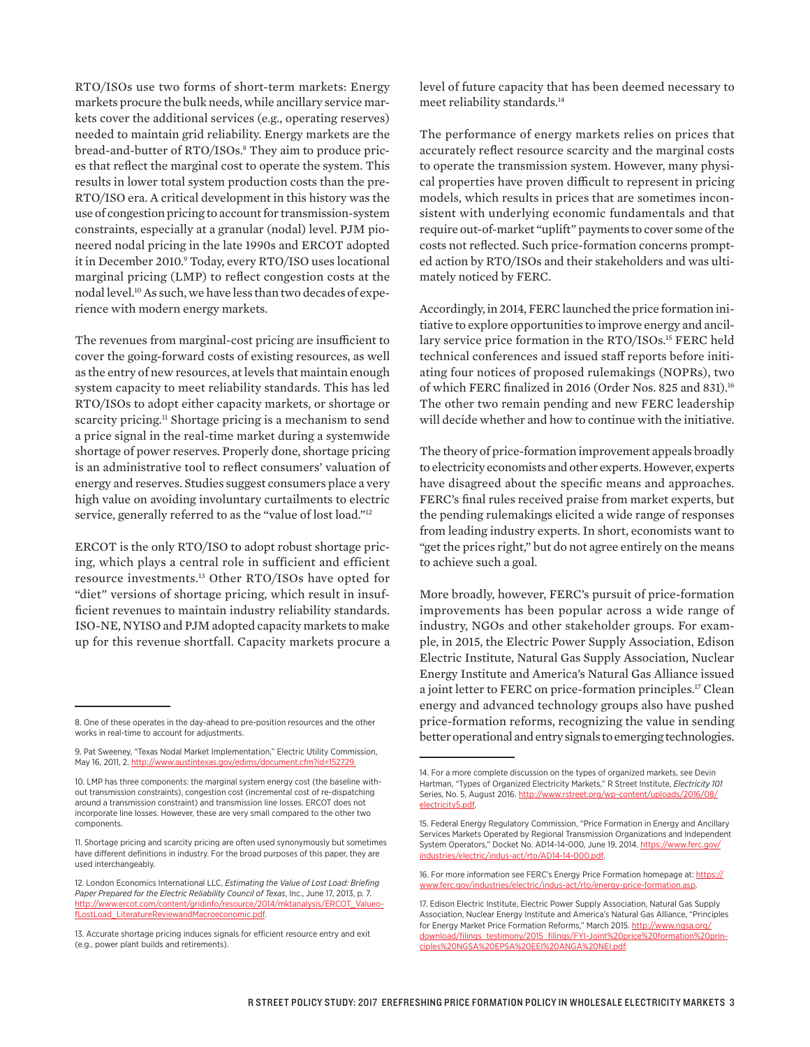RTO/ISOs use two forms of short-term markets: Energy markets procure the bulk needs, while ancillary service markets cover the additional services (e.g., operating reserves) needed to maintain grid reliability. Energy markets are the bread-and-butter of RTO/ISOs.8 They aim to produce prices that reflect the marginal cost to operate the system. This results in lower total system production costs than the pre-RTO/ISO era. A critical development in this history was the use of congestion pricing to account for transmission-system constraints, especially at a granular (nodal) level. PJM pioneered nodal pricing in the late 1990s and ERCOT adopted it in December 2010.<sup>9</sup> Today, every RTO/ISO uses locational marginal pricing (LMP) to reflect congestion costs at the nodal level.10 As such, we have less than two decades of experience with modern energy markets.

The revenues from marginal-cost pricing are insufficient to cover the going-forward costs of existing resources, as well as the entry of new resources, at levels that maintain enough system capacity to meet reliability standards. This has led RTO/ISOs to adopt either capacity markets, or shortage or scarcity pricing.<sup>11</sup> Shortage pricing is a mechanism to send a price signal in the real-time market during a systemwide shortage of power reserves. Properly done, shortage pricing is an administrative tool to reflect consumers' valuation of energy and reserves. Studies suggest consumers place a very high value on avoiding involuntary curtailments to electric service, generally referred to as the "value of lost load."<sup>12</sup>

ERCOT is the only RTO/ISO to adopt robust shortage pricing, which plays a central role in sufficient and efficient resource investments.13 Other RTO/ISOs have opted for "diet" versions of shortage pricing, which result in insufficient revenues to maintain industry reliability standards. ISO-NE, NYISO and PJM adopted capacity markets to make up for this revenue shortfall. Capacity markets procure a level of future capacity that has been deemed necessary to meet reliability standards.14

The performance of energy markets relies on prices that accurately reflect resource scarcity and the marginal costs to operate the transmission system. However, many physical properties have proven difficult to represent in pricing models, which results in prices that are sometimes inconsistent with underlying economic fundamentals and that require out-of-market "uplift" payments to cover some of the costs not reflected. Such price-formation concerns prompted action by RTO/ISOs and their stakeholders and was ultimately noticed by FERC.

Accordingly, in 2014, FERC launched the price formation initiative to explore opportunities to improve energy and ancillary service price formation in the RTO/ISOs.15 FERC held technical conferences and issued staff reports before initiating four notices of proposed rulemakings (NOPRs), two of which FERC finalized in 2016 (Order Nos. 825 and 831).16 The other two remain pending and new FERC leadership will decide whether and how to continue with the initiative.

The theory of price-formation improvement appeals broadly to electricity economists and other experts. However, experts have disagreed about the specific means and approaches. FERC's final rules received praise from market experts, but the pending rulemakings elicited a wide range of responses from leading industry experts. In short, economists want to "get the prices right," but do not agree entirely on the means to achieve such a goal.

More broadly, however, FERC's pursuit of price-formation improvements has been popular across a wide range of industry, NGOs and other stakeholder groups. For example, in 2015, the Electric Power Supply Association, Edison Electric Institute, Natural Gas Supply Association, Nuclear Energy Institute and America's Natural Gas Alliance issued a joint letter to FERC on price-formation principles.<sup>17</sup> Clean energy and advanced technology groups also have pushed price-formation reforms, recognizing the value in sending better operational and entry signals to emerging technologies.

<sup>8.</sup> One of these operates in the day-ahead to pre-position resources and the other works in real-time to account for adjustments.

<sup>9.</sup> Pat Sweeney, "Texas Nodal Market Implementation," Electric Utility Commission, May 16, 2011, 2. [http://www.austintexas.gov/edims/document.cfm?id=152729.](http://www.austintexas.gov/edims/document.cfm?id=152729)

<sup>10.</sup> LMP has three components: the marginal system energy cost (the baseline without transmission constraints), congestion cost (incremental cost of re-dispatching around a transmission constraint) and transmission line losses. ERCOT does not incorporate line losses. However, these are very small compared to the other two components.

<sup>11.</sup> Shortage pricing and scarcity pricing are often used synonymously but sometimes have different definitions in industry. For the broad purposes of this paper, they are used interchangeably.

<sup>12.</sup> London Economics International LLC, *Estimating the Value of Lost Load: Briefing Paper Prepared for the Electric Reliability Council of Texas*, Inc., June 17, 2013, p. 7. [http://www.ercot.com/content/gridinfo/resource/2014/mktanalysis/ERCOT\\_Valueo](http://www.ercot.com/content/gridinfo/resource/2014/mktanalysis/ERCOT_ValueofLostLoad_LiteratureReviewandMacroeconomic.pdf)[fLostLoad\\_LiteratureReviewandMacroeconomic.pdf](http://www.ercot.com/content/gridinfo/resource/2014/mktanalysis/ERCOT_ValueofLostLoad_LiteratureReviewandMacroeconomic.pdf).

<sup>13.</sup> Accurate shortage pricing induces signals for efficient resource entry and exit (e.g., power plant builds and retirements).

<sup>14.</sup> For a more complete discussion on the types of organized markets, see Devin Hartman, "Types of Organized Electricity Markets," R Street Institute, *Electricity 101* Series, No. 5, August 2016. [http://www.rstreet.org/wp-content/uploads/2016/08/](http://www.rstreet.org/wp-content/uploads/2016/08/electricity5.pdf) [electricity5.pdf.](http://www.rstreet.org/wp-content/uploads/2016/08/electricity5.pdf)

<sup>15.</sup> Federal Energy Regulatory Commission, "Price Formation in Energy and Ancillary Services Markets Operated by Regional Transmission Organizations and Independent System Operators," Docket No. AD14-14-000, June 19, 2014. [https://www.ferc.gov/](https://www.ferc.gov/industries/electric/indus-act/rto/AD14-14-000.pdf) [industries/electric/indus-act/rto/AD14-14-000.pdf](https://www.ferc.gov/industries/electric/indus-act/rto/AD14-14-000.pdf).

<sup>16.</sup> For more information see FERC's Energy Price Formation homepage at: [https://](https://www.ferc.gov/industries/electric/indus-act/rto/energy-price-formation.asp) [www.ferc.gov/industries/electric/indus-act/rto/energy-price-formation.asp.](https://www.ferc.gov/industries/electric/indus-act/rto/energy-price-formation.asp)

<sup>17.</sup> Edison Electric Institute, Electric Power Supply Association, Natural Gas Supply Association, Nuclear Energy Institute and America's Natural Gas Alliance, "Principles for Energy Market Price Formation Reforms," March 2015. [http://www.ngsa.org/](http://www.ngsa.org/download/filings_testimony/2015_filings/FYI-Joint%20price%20formation%20principles%20NGSA%20EPSA%20EEI%20ANGA%20NEI.pdf) [download/filings\\_testimony/2015\\_filings/FYI-Joint%20price%20formation%20prin](http://www.ngsa.org/download/filings_testimony/2015_filings/FYI-Joint%20price%20formation%20principles%20NGSA%20EPSA%20EEI%20ANGA%20NEI.pdf)[ciples%20NGSA%20EPSA%20EEI%20ANGA%20NEI.pdf.](http://www.ngsa.org/download/filings_testimony/2015_filings/FYI-Joint%20price%20formation%20principles%20NGSA%20EPSA%20EEI%20ANGA%20NEI.pdf)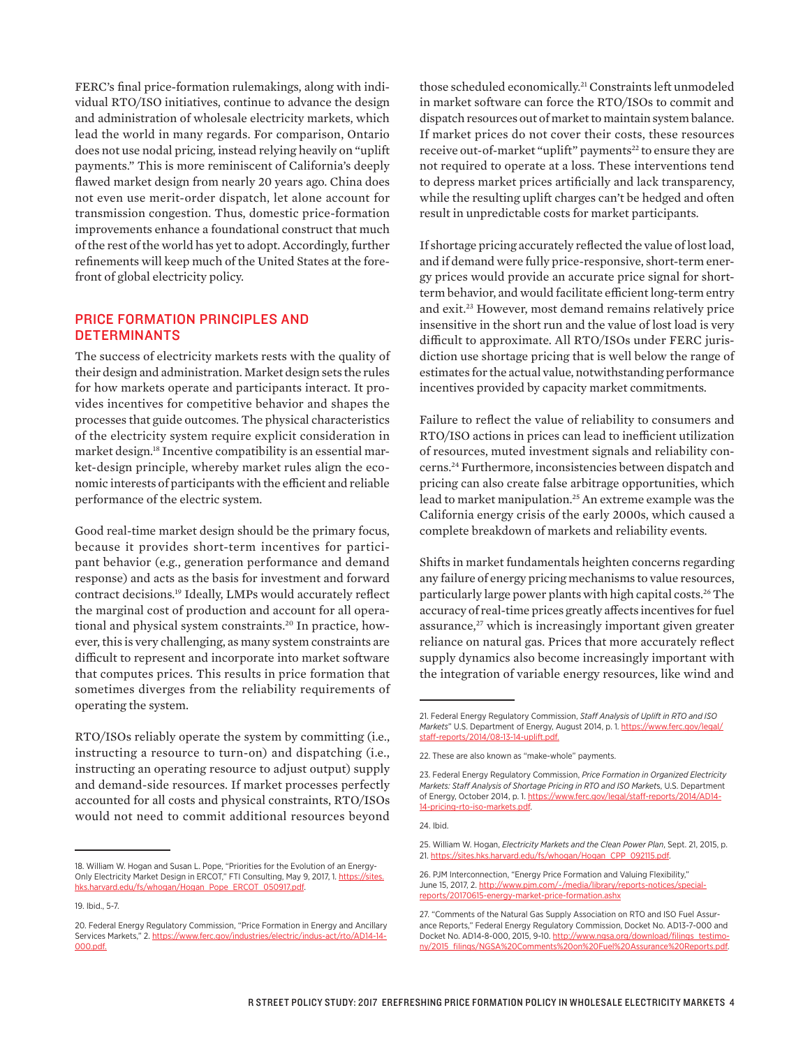FERC's final price-formation rulemakings, along with individual RTO/ISO initiatives, continue to advance the design and administration of wholesale electricity markets, which lead the world in many regards. For comparison, Ontario does not use nodal pricing, instead relying heavily on "uplift payments." This is more reminiscent of California's deeply flawed market design from nearly 20 years ago. China does not even use merit-order dispatch, let alone account for transmission congestion. Thus, domestic price-formation improvements enhance a foundational construct that much of the rest of the world has yet to adopt. Accordingly, further refinements will keep much of the United States at the forefront of global electricity policy.

### PRICE FORMATION PRINCIPLES AND DETERMINANTS

The success of electricity markets rests with the quality of their design and administration. Market design sets the rules for how markets operate and participants interact. It provides incentives for competitive behavior and shapes the processes that guide outcomes. The physical characteristics of the electricity system require explicit consideration in market design.18 Incentive compatibility is an essential market-design principle, whereby market rules align the economic interests of participants with the efficient and reliable performance of the electric system.

Good real-time market design should be the primary focus, because it provides short-term incentives for participant behavior (e.g., generation performance and demand response) and acts as the basis for investment and forward contract decisions.19 Ideally, LMPs would accurately reflect the marginal cost of production and account for all operational and physical system constraints.20 In practice, however, this is very challenging, as many system constraints are difficult to represent and incorporate into market software that computes prices. This results in price formation that sometimes diverges from the reliability requirements of operating the system.

RTO/ISOs reliably operate the system by committing (i.e., instructing a resource to turn-on) and dispatching (i.e., instructing an operating resource to adjust output) supply and demand-side resources. If market processes perfectly accounted for all costs and physical constraints, RTO/ISOs would not need to commit additional resources beyond

those scheduled economically.21 Constraints left unmodeled in market software can force the RTO/ISOs to commit and dispatch resources out of market to maintain system balance. If market prices do not cover their costs, these resources receive out-of-market "uplift" payments<sup>22</sup> to ensure they are not required to operate at a loss. These interventions tend to depress market prices artificially and lack transparency, while the resulting uplift charges can't be hedged and often result in unpredictable costs for market participants.

If shortage pricing accurately reflected the value of lost load, and if demand were fully price-responsive, short-term energy prices would provide an accurate price signal for shortterm behavior, and would facilitate efficient long-term entry and exit.23 However, most demand remains relatively price insensitive in the short run and the value of lost load is very difficult to approximate. All RTO/ISOs under FERC jurisdiction use shortage pricing that is well below the range of estimates for the actual value, notwithstanding performance incentives provided by capacity market commitments.

Failure to reflect the value of reliability to consumers and RTO/ISO actions in prices can lead to inefficient utilization of resources, muted investment signals and reliability concerns.24 Furthermore, inconsistencies between dispatch and pricing can also create false arbitrage opportunities, which lead to market manipulation.25 An extreme example was the California energy crisis of the early 2000s, which caused a complete breakdown of markets and reliability events.

Shifts in market fundamentals heighten concerns regarding any failure of energy pricing mechanisms to value resources, particularly large power plants with high capital costs.<sup>26</sup> The accuracy of real-time prices greatly affects incentives for fuel assurance,<sup>27</sup> which is increasingly important given greater reliance on natural gas. Prices that more accurately reflect supply dynamics also become increasingly important with the integration of variable energy resources, like wind and

<sup>18.</sup> William W. Hogan and Susan L. Pope, "Priorities for the Evolution of an Energy-Only Electricity Market Design in ERCOT," FTI Consulting, May 9, 2017, 1. [https://sites.](https://sites.hks.harvard.edu/fs/whogan/Hogan_Pope_ERCOT_050917.pdf) [hks.harvard.edu/fs/whogan/Hogan\\_Pope\\_ERCOT\\_050917.pdf.](https://sites.hks.harvard.edu/fs/whogan/Hogan_Pope_ERCOT_050917.pdf)

<sup>19.</sup> Ibid., 5-7.

<sup>20.</sup> Federal Energy Regulatory Commission, "Price Formation in Energy and Ancillary Services Markets," 2. [https://www.ferc.gov/industries/electric/indus-act/rto/AD14-14-](https://www.ferc.gov/industries/electric/indus-act/rto/AD14-14-000.pdf) [000.pdf](https://www.ferc.gov/industries/electric/indus-act/rto/AD14-14-000.pdf).

<sup>21.</sup> Federal Energy Regulatory Commission, *Staff Analysis of Uplift in RTO and ISO Markets*" U.S. Department of Energy, August 2014, p. 1. [https://www.ferc.gov/legal/](https://www.ferc.gov/legal/staff-reports/2014/08-13-14-uplift.pdf) [staff-reports/2014/08-13-14-uplift.pdf](https://www.ferc.gov/legal/staff-reports/2014/08-13-14-uplift.pdf).

<sup>22.</sup> These are also known as "make-whole" payments.

<sup>23.</sup> Federal Energy Regulatory Commission, *Price Formation in Organized Electricity Markets: Staff Analysis of Shortage Pricing in RTO and ISO Market*s, U.S. Department of Energy, October 2014, p. 1. [https://www.ferc.gov/legal/staff-reports/2014/AD14-](https://www.ferc.gov/legal/staff-reports/2014/AD14-14-pricing-rto-iso-markets.pdf) [14-pricing-rto-iso-markets.pdf.](https://www.ferc.gov/legal/staff-reports/2014/AD14-14-pricing-rto-iso-markets.pdf)

<sup>24.</sup> Ibid.

<sup>25.</sup> William W. Hogan, *Electricity Markets and the Clean Power Plan*, Sept. 21, 2015, p. 21. [https://sites.hks.harvard.edu/fs/whogan/Hogan\\_CPP\\_092115.pdf.](https://sites.hks.harvard.edu/fs/whogan/Hogan_CPP_092115.pdf)

<sup>26.</sup> PJM Interconnection, "Energy Price Formation and Valuing Flexibility," June 15, 2017, 2. [http://www.pjm.com/~/media/library/reports-notices/special](http://www.pjm.com/~/media/library/reports-notices/special-reports/20170615-energy-market-price-formation.ashx)[reports/20170615-energy-market-price-formation.ashx](http://www.pjm.com/~/media/library/reports-notices/special-reports/20170615-energy-market-price-formation.ashx)

<sup>27. &</sup>quot;Comments of the Natural Gas Supply Association on RTO and ISO Fuel Assurance Reports," Federal Energy Regulatory Commission, Docket No. AD13-7-000 and Docket No. AD14-8-000, 2015, 9-10. [http://www.ngsa.org/download/filings\\_testimo](http://www.ngsa.org/download/filings_testimony/2015_filings/NGSA%20Comments%20on%20Fuel%20Assurance%20Reports.pdf)[ny/2015\\_filings/NGSA%20Comments%20on%20Fuel%20Assurance%20Reports.pdf](http://www.ngsa.org/download/filings_testimony/2015_filings/NGSA%20Comments%20on%20Fuel%20Assurance%20Reports.pdf).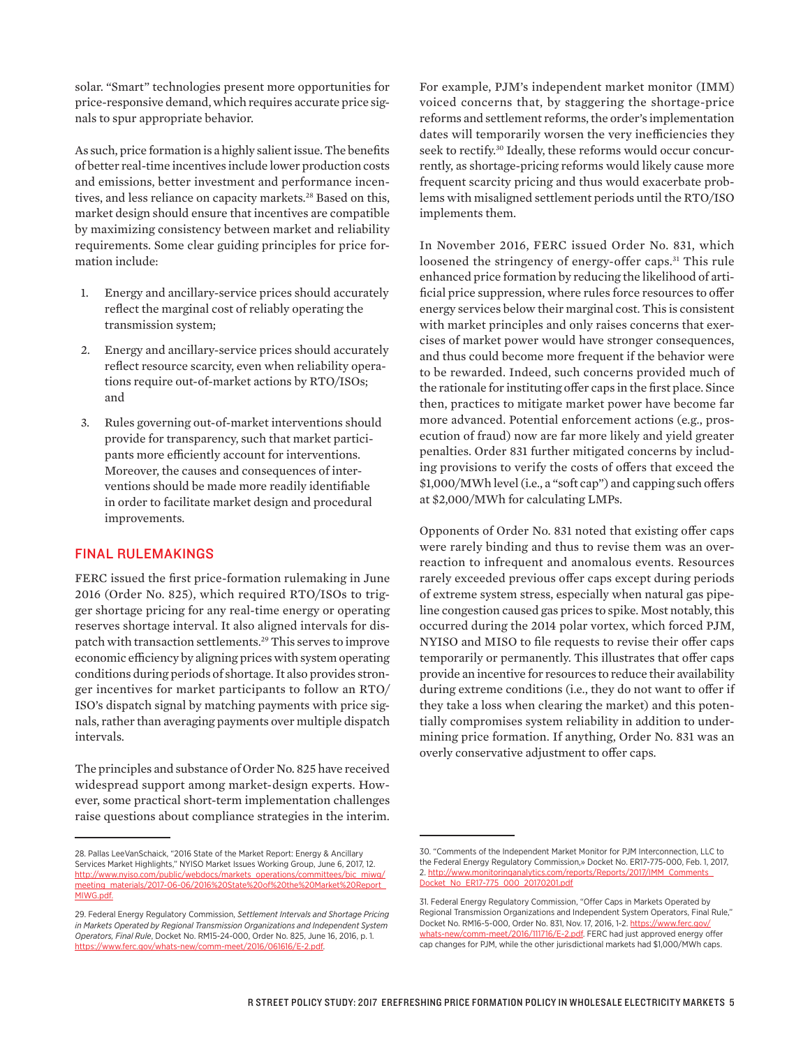solar. "Smart" technologies present more opportunities for price-responsive demand, which requires accurate price signals to spur appropriate behavior.

As such, price formation is a highly salient issue. The benefits of better real-time incentives include lower production costs and emissions, better investment and performance incentives, and less reliance on capacity markets.<sup>28</sup> Based on this, market design should ensure that incentives are compatible by maximizing consistency between market and reliability requirements. Some clear guiding principles for price formation include:

- 1. Energy and ancillary-service prices should accurately reflect the marginal cost of reliably operating the transmission system;
- 2. Energy and ancillary-service prices should accurately reflect resource scarcity, even when reliability operations require out-of-market actions by RTO/ISOs; and
- 3. Rules governing out-of-market interventions should provide for transparency, such that market participants more efficiently account for interventions. Moreover, the causes and consequences of interventions should be made more readily identifiable in order to facilitate market design and procedural improvements.

#### FINAL RULEMAKINGS

FERC issued the first price-formation rulemaking in June 2016 (Order No. 825), which required RTO/ISOs to trigger shortage pricing for any real-time energy or operating reserves shortage interval. It also aligned intervals for dispatch with transaction settlements.29 This serves to improve economic efficiency by aligning prices with system operating conditions during periods of shortage. It also provides stronger incentives for market participants to follow an RTO/ ISO's dispatch signal by matching payments with price signals, rather than averaging payments over multiple dispatch intervals.

The principles and substance of Order No. 825 have received widespread support among market-design experts. However, some practical short-term implementation challenges raise questions about compliance strategies in the interim.

For example, PJM's independent market monitor (IMM) voiced concerns that, by staggering the shortage-price reforms and settlement reforms, the order's implementation dates will temporarily worsen the very inefficiencies they seek to rectify.<sup>30</sup> Ideally, these reforms would occur concurrently, as shortage-pricing reforms would likely cause more frequent scarcity pricing and thus would exacerbate problems with misaligned settlement periods until the RTO/ISO implements them.

In November 2016, FERC issued Order No. 831, which loosened the stringency of energy-offer caps.<sup>31</sup> This rule enhanced price formation by reducing the likelihood of artificial price suppression, where rules force resources to offer energy services below their marginal cost. This is consistent with market principles and only raises concerns that exercises of market power would have stronger consequences, and thus could become more frequent if the behavior were to be rewarded. Indeed, such concerns provided much of the rationale for instituting offer caps in the first place. Since then, practices to mitigate market power have become far more advanced. Potential enforcement actions (e.g., prosecution of fraud) now are far more likely and yield greater penalties. Order 831 further mitigated concerns by including provisions to verify the costs of offers that exceed the \$1,000/MWh level (i.e., a "soft cap") and capping such offers at \$2,000/MWh for calculating LMPs.

Opponents of Order No. 831 noted that existing offer caps were rarely binding and thus to revise them was an overreaction to infrequent and anomalous events. Resources rarely exceeded previous offer caps except during periods of extreme system stress, especially when natural gas pipeline congestion caused gas prices to spike. Most notably, this occurred during the 2014 polar vortex, which forced PJM, NYISO and MISO to file requests to revise their offer caps temporarily or permanently. This illustrates that offer caps provide an incentive for resources to reduce their availability during extreme conditions (i.e., they do not want to offer if they take a loss when clearing the market) and this potentially compromises system reliability in addition to undermining price formation. If anything, Order No. 831 was an overly conservative adjustment to offer caps.

<sup>28.</sup> Pallas LeeVanSchaick, "2016 State of the Market Report: Energy & Ancillary Services Market Highlights," NYISO Market Issues Working Group, June 6, 2017, 12. [http://www.nyiso.com/public/webdocs/markets\\_operations/committees/bic\\_miwg/](http://www.nyiso.com/public/webdocs/markets_operations/committees/bic_miwg/meeting_materials/2017-06-06/2016%20State%20of%20the%20Market%20Report_MIWG.pdf) [meeting\\_materials/2017-06-06/2016%20State%20of%20the%20Market%20Report\\_](http://www.nyiso.com/public/webdocs/markets_operations/committees/bic_miwg/meeting_materials/2017-06-06/2016%20State%20of%20the%20Market%20Report_MIWG.pdf) [MIWG.pdf](http://www.nyiso.com/public/webdocs/markets_operations/committees/bic_miwg/meeting_materials/2017-06-06/2016%20State%20of%20the%20Market%20Report_MIWG.pdf).

<sup>29.</sup> Federal Energy Regulatory Commission, *Settlement Intervals and Shortage Pricing in Markets Operated by Regional Transmission Organizations and Independent System Operators, Final Rule*, Docket No. RM15-24-000, Order No. 825, June 16, 2016, p. 1. <https://www.ferc.gov/whats-new/comm-meet/2016/061616/E-2.pdf>.

<sup>30. &</sup>quot;Comments of the Independent Market Monitor for PJM Interconnection, LLC to the Federal Energy Regulatory Commission,» Docket No. ER17-775-000, Feb. 1, 2017, 2. [http://www.monitoringanalytics.com/reports/Reports/2017/IMM\\_Comments\\_](http://www.monitoringanalytics.com/reports/Reports/2017/IMM_Comments_Docket_No_ER17-775_000_20170201.pdf) [Docket\\_No\\_ER17-775\\_000\\_20170201.pdf](http://www.monitoringanalytics.com/reports/Reports/2017/IMM_Comments_Docket_No_ER17-775_000_20170201.pdf)

<sup>31.</sup> Federal Energy Regulatory Commission, "Offer Caps in Markets Operated by Regional Transmission Organizations and Independent System Operators, Final Rule," Docket No. RM16-5-000, Order No. 831, Nov. 17, 2016, 1-2. [https://www.ferc.gov/](https://www.ferc.gov/whats-new/comm-meet/2016/111716/E-2.pdf) [whats-new/comm-meet/2016/111716/E-2.pdf.](https://www.ferc.gov/whats-new/comm-meet/2016/111716/E-2.pdf) FERC had just approved energy offer cap changes for PJM, while the other jurisdictional markets had \$1,000/MWh caps.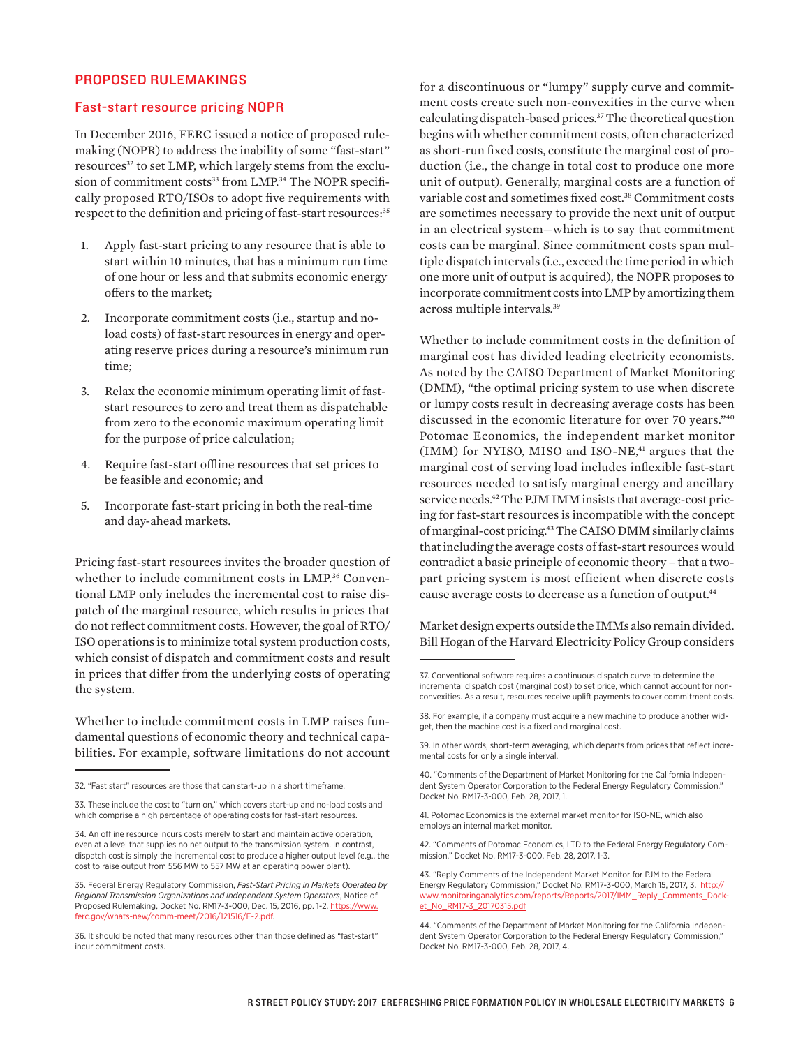#### PROPOSED RULEMAKINGS

#### Fast-start resource pricing NOPR

In December 2016, FERC issued a notice of proposed rulemaking (NOPR) to address the inability of some "fast-start" resources<sup>32</sup> to set LMP, which largely stems from the exclusion of commitment costs<sup>33</sup> from LMP.<sup>34</sup> The NOPR specifically proposed RTO/ISOs to adopt five requirements with respect to the definition and pricing of fast-start resources:<sup>35</sup>

- 1. Apply fast-start pricing to any resource that is able to start within 10 minutes, that has a minimum run time of one hour or less and that submits economic energy offers to the market;
- 2. Incorporate commitment costs (i.e., startup and noload costs) of fast-start resources in energy and operating reserve prices during a resource's minimum run time;
- 3. Relax the economic minimum operating limit of faststart resources to zero and treat them as dispatchable from zero to the economic maximum operating limit for the purpose of price calculation;
- Require fast-start offline resources that set prices to be feasible and economic; and
- 5. Incorporate fast-start pricing in both the real-time and day-ahead markets.

Pricing fast-start resources invites the broader question of whether to include commitment costs in LMP.<sup>36</sup> Conventional LMP only includes the incremental cost to raise dispatch of the marginal resource, which results in prices that do not reflect commitment costs. However, the goal of RTO/ ISO operations is to minimize total system production costs, which consist of dispatch and commitment costs and result in prices that differ from the underlying costs of operating the system.

Whether to include commitment costs in LMP raises fundamental questions of economic theory and technical capabilities. For example, software limitations do not account

for a discontinuous or "lumpy" supply curve and commitment costs create such non-convexities in the curve when calculating dispatch-based prices.37 The theoretical question begins with whether commitment costs, often characterized as short-run fixed costs, constitute the marginal cost of production (i.e., the change in total cost to produce one more unit of output). Generally, marginal costs are a function of variable cost and sometimes fixed cost.38 Commitment costs are sometimes necessary to provide the next unit of output in an electrical system—which is to say that commitment costs can be marginal. Since commitment costs span multiple dispatch intervals (i.e., exceed the time period in which one more unit of output is acquired), the NOPR proposes to incorporate commitment costs into LMP by amortizing them across multiple intervals.39

Whether to include commitment costs in the definition of marginal cost has divided leading electricity economists. As noted by the CAISO Department of Market Monitoring (DMM), "the optimal pricing system to use when discrete or lumpy costs result in decreasing average costs has been discussed in the economic literature for over 70 years."40 Potomac Economics, the independent market monitor (IMM) for NYISO, MISO and ISO-NE,<sup>41</sup> argues that the marginal cost of serving load includes inflexible fast-start resources needed to satisfy marginal energy and ancillary service needs.<sup>42</sup> The PJM IMM insists that average-cost pricing for fast-start resources is incompatible with the concept of marginal-cost pricing.43 The CAISO DMM similarly claims that including the average costs of fast-start resources would contradict a basic principle of economic theory – that a twopart pricing system is most efficient when discrete costs cause average costs to decrease as a function of output.44

Market design experts outside the IMMs also remain divided. Bill Hogan of the Harvard Electricity Policy Group considers

<sup>32. &</sup>quot;Fast start" resources are those that can start-up in a short timeframe.

<sup>33.</sup> These include the cost to "turn on," which covers start-up and no-load costs and which comprise a high percentage of operating costs for fast-start resources.

<sup>34.</sup> An offline resource incurs costs merely to start and maintain active operation, even at a level that supplies no net output to the transmission system. In contrast, dispatch cost is simply the incremental cost to produce a higher output level (e.g., the cost to raise output from 556 MW to 557 MW at an operating power plant).

<sup>35.</sup> Federal Energy Regulatory Commission, *Fast-Start Pricing in Markets Operated by Regional Transmission Organizations and Independent System Operators*, Notice of Proposed Rulemaking, Docket No. RM17-3-000, Dec. 15, 2016, pp. 1-2. [https://www.](https://www.ferc.gov/whats-new/comm-meet/2016/121516/E-2.pdf) [ferc.gov/whats-new/comm-meet/2016/121516/E-2.pdf](https://www.ferc.gov/whats-new/comm-meet/2016/121516/E-2.pdf).

<sup>36.</sup> It should be noted that many resources other than those defined as "fast-start" incur commitment costs.

<sup>37.</sup> Conventional software requires a continuous dispatch curve to determine the incremental dispatch cost (marginal cost) to set price, which cannot account for nonconvexities. As a result, resources receive uplift payments to cover commitment costs.

<sup>38.</sup> For example, if a company must acquire a new machine to produce another widget, then the machine cost is a fixed and marginal cost.

<sup>39.</sup> In other words, short-term averaging, which departs from prices that reflect incremental costs for only a single interval.

<sup>40. &</sup>quot;Comments of the Department of Market Monitoring for the California Independent System Operator Corporation to the Federal Energy Regulatory Commission," Docket No. RM17-3-000, Feb. 28, 2017, 1.

<sup>41.</sup> Potomac Economics is the external market monitor for ISO-NE, which also employs an internal market monitor.

<sup>42. &</sup>quot;Comments of Potomac Economics, LTD to the Federal Energy Regulatory Commission," Docket No. RM17-3-000, Feb. 28, 2017, 1-3.

<sup>43. &</sup>quot;Reply Comments of the Independent Market Monitor for PJM to the Federal Energy Regulatory Commission," Docket No. RM17-3-000, March 15, 2017, 3. [http://](http://www.monitoringanalytics.com/reports/Reports/2017/IMM_Reply_Comments_Docket_No_RM17-3_20170315.pdf) [www.monitoringanalytics.com/reports/Reports/2017/IMM\\_Reply\\_Comments\\_Dock](http://www.monitoringanalytics.com/reports/Reports/2017/IMM_Reply_Comments_Docket_No_RM17-3_20170315.pdf)[et\\_No\\_RM17-3\\_20170315.pdf](http://www.monitoringanalytics.com/reports/Reports/2017/IMM_Reply_Comments_Docket_No_RM17-3_20170315.pdf)

<sup>44. &</sup>quot;Comments of the Department of Market Monitoring for the California Independent System Operator Corporation to the Federal Energy Regulatory Commission," Docket No. RM17-3-000, Feb. 28, 2017, 4.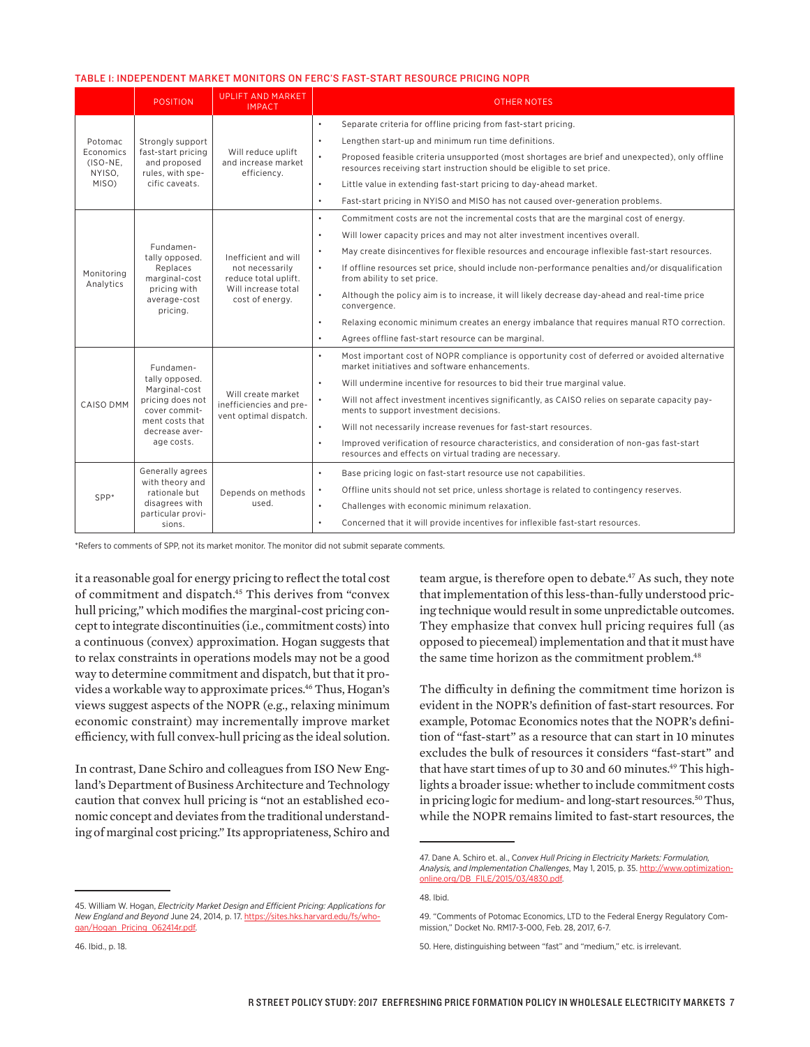#### TABLE 1: INDEPENDENT MARKET MONITORS ON FERC'S FAST-START RESOURCE PRICING NOPR

|                                                     | <b>POSITION</b>                                                                                                                      | <b>UPLIFT AND MARKET</b><br><b>IMPACT</b>                                                                 | <b>OTHER NOTES</b>                                                                                                                                                                    |                                                                                |
|-----------------------------------------------------|--------------------------------------------------------------------------------------------------------------------------------------|-----------------------------------------------------------------------------------------------------------|---------------------------------------------------------------------------------------------------------------------------------------------------------------------------------------|--------------------------------------------------------------------------------|
| Potomac<br>Economics<br>(ISO-NE,<br>NYISO.<br>MISO) | Strongly support<br>fast-start pricing<br>and proposed<br>rules, with spe-<br>cific caveats.                                         | Will reduce uplift<br>and increase market<br>efficiency.                                                  | Separate criteria for offline pricing from fast-start pricing.<br>$\bullet$                                                                                                           |                                                                                |
|                                                     |                                                                                                                                      |                                                                                                           | $\bullet$<br>Lengthen start-up and minimum run time definitions.                                                                                                                      |                                                                                |
|                                                     |                                                                                                                                      |                                                                                                           | Proposed feasible criteria unsupported (most shortages are brief and unexpected), only offline<br>$\bullet$<br>resources receiving start instruction should be eligible to set price. |                                                                                |
|                                                     |                                                                                                                                      |                                                                                                           |                                                                                                                                                                                       | $\bullet$<br>Little value in extending fast-start pricing to day-ahead market. |
|                                                     |                                                                                                                                      |                                                                                                           | Fast-start pricing in NYISO and MISO has not caused over-generation problems.<br>$\bullet$                                                                                            |                                                                                |
| Monitoring<br>Analytics                             | Fundamen-<br>tally opposed.<br>Replaces<br>marginal-cost<br>pricing with<br>average-cost<br>pricina.                                 | Inefficient and will<br>not necessarily<br>reduce total uplift.<br>Will increase total<br>cost of energy. | Commitment costs are not the incremental costs that are the marginal cost of energy.<br>$\bullet$                                                                                     |                                                                                |
|                                                     |                                                                                                                                      |                                                                                                           | Will lower capacity prices and may not alter investment incentives overall.<br>$\bullet$                                                                                              |                                                                                |
|                                                     |                                                                                                                                      |                                                                                                           | May create disincentives for flexible resources and encourage inflexible fast-start resources.<br>$\bullet$                                                                           |                                                                                |
|                                                     |                                                                                                                                      |                                                                                                           | If offline resources set price, should include non-performance penalties and/or disqualification<br>$\bullet$<br>from ability to set price.                                           |                                                                                |
|                                                     |                                                                                                                                      |                                                                                                           | $\bullet$<br>Although the policy aim is to increase, it will likely decrease day-ahead and real-time price<br>convergence.                                                            |                                                                                |
|                                                     |                                                                                                                                      |                                                                                                           | Relaxing economic minimum creates an energy imbalance that requires manual RTO correction.<br>$\bullet$                                                                               |                                                                                |
|                                                     |                                                                                                                                      |                                                                                                           | Agrees offline fast-start resource can be marginal.<br>$\bullet$                                                                                                                      |                                                                                |
| CAISO DMM                                           | Fundamen-<br>tally opposed.<br>Marginal-cost<br>pricing does not<br>cover commit-<br>ment costs that<br>decrease aver-<br>age costs. | Will create market<br>inefficiencies and pre-<br>vent optimal dispatch.                                   | Most important cost of NOPR compliance is opportunity cost of deferred or avoided alternative<br>$\bullet$<br>market initiatives and software enhancements.                           |                                                                                |
|                                                     |                                                                                                                                      |                                                                                                           | $\bullet$<br>Will undermine incentive for resources to bid their true marginal value.                                                                                                 |                                                                                |
|                                                     |                                                                                                                                      |                                                                                                           | $\bullet$<br>Will not affect investment incentives significantly, as CAISO relies on separate capacity pay-<br>ments to support investment decisions.                                 |                                                                                |
|                                                     |                                                                                                                                      |                                                                                                           | $\bullet$<br>Will not necessarily increase revenues for fast-start resources.                                                                                                         |                                                                                |
|                                                     |                                                                                                                                      |                                                                                                           | $\bullet$<br>Improved verification of resource characteristics, and consideration of non-gas fast-start<br>resources and effects on virtual trading are necessary.                    |                                                                                |
| SPP*                                                | Generally agrees<br>with theory and<br>rationale but<br>disagrees with<br>particular provi-<br>sions.                                | Depends on methods<br>used.                                                                               | Base pricing logic on fast-start resource use not capabilities.<br>$\bullet$                                                                                                          |                                                                                |
|                                                     |                                                                                                                                      |                                                                                                           | Offline units should not set price, unless shortage is related to contingency reserves.<br>$\bullet$                                                                                  |                                                                                |
|                                                     |                                                                                                                                      |                                                                                                           | $\bullet$<br>Challenges with economic minimum relaxation.                                                                                                                             |                                                                                |
|                                                     |                                                                                                                                      |                                                                                                           | Concerned that it will provide incentives for inflexible fast-start resources.<br>$\bullet$                                                                                           |                                                                                |

\*Refers to comments of SPP, not its market monitor. The monitor did not submit separate comments.

it a reasonable goal for energy pricing to reflect the total cost of commitment and dispatch.45 This derives from "convex hull pricing," which modifies the marginal-cost pricing concept to integrate discontinuities (i.e., commitment costs) into a continuous (convex) approximation. Hogan suggests that to relax constraints in operations models may not be a good way to determine commitment and dispatch, but that it provides a workable way to approximate prices.<sup>46</sup> Thus, Hogan's views suggest aspects of the NOPR (e.g., relaxing minimum economic constraint) may incrementally improve market efficiency, with full convex-hull pricing as the ideal solution.

In contrast, Dane Schiro and colleagues from ISO New England's Department of Business Architecture and Technology caution that convex hull pricing is "not an established economic concept and deviates from the traditional understanding of marginal cost pricing." Its appropriateness, Schiro and team argue, is therefore open to debate.<sup>47</sup> As such, they note that implementation of this less-than-fully understood pricing technique would result in some unpredictable outcomes. They emphasize that convex hull pricing requires full (as opposed to piecemeal) implementation and that it must have the same time horizon as the commitment problem.<sup>48</sup>

The difficulty in defining the commitment time horizon is evident in the NOPR's definition of fast-start resources. For example, Potomac Economics notes that the NOPR's definition of "fast-start" as a resource that can start in 10 minutes excludes the bulk of resources it considers "fast-start" and that have start times of up to 30 and 60 minutes.<sup>49</sup> This highlights a broader issue: whether to include commitment costs in pricing logic for medium- and long-start resources.<sup>50</sup> Thus, while the NOPR remains limited to fast-start resources, the

<sup>45.</sup> William W. Hogan, *Electricity Market Design and Efficient Pricing: Applications for New England and Beyond* June 24, 2014, p. 17. [https://sites.hks.harvard.edu/fs/who](https://sites.hks.harvard.edu/fs/whogan/Hogan_Pricing_062414r.pdf)[gan/Hogan\\_Pricing\\_062414r.pdf.](https://sites.hks.harvard.edu/fs/whogan/Hogan_Pricing_062414r.pdf)

<sup>47.</sup> Dane A. Schiro et. al., C*onvex Hull Pricing in Electricity Markets: Formulation, Analysis, and Implementation Challenges*, May 1, 2015, p. 35. [http://www.optimization](http://www.optimization-online.org/DB_FILE/2015/03/4830.pdf)[online.org/DB\\_FILE/2015/03/4830.pdf](http://www.optimization-online.org/DB_FILE/2015/03/4830.pdf).

<sup>48.</sup> Ibid.

<sup>49. &</sup>quot;Comments of Potomac Economics, LTD to the Federal Energy Regulatory Commission," Docket No. RM17-3-000, Feb. 28, 2017, 6-7.

<sup>50.</sup> Here, distinguishing between "fast" and "medium," etc. is irrelevant.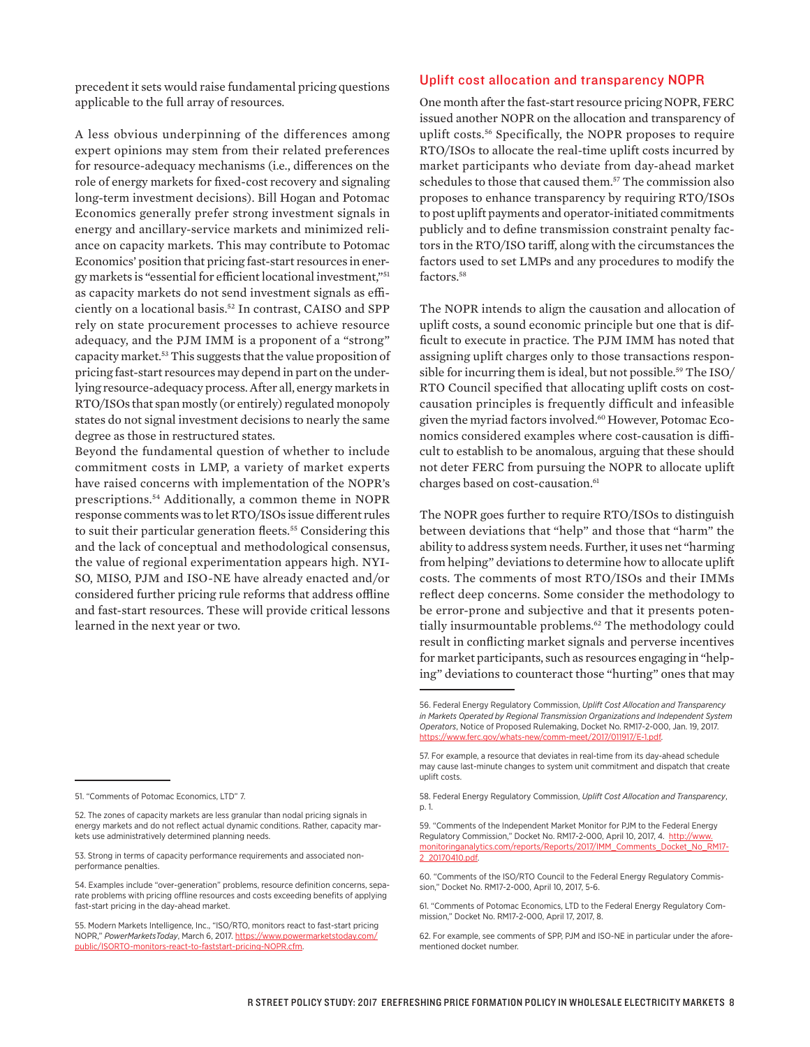precedent it sets would raise fundamental pricing questions applicable to the full array of resources.

A less obvious underpinning of the differences among expert opinions may stem from their related preferences for resource-adequacy mechanisms (i.e., differences on the role of energy markets for fixed-cost recovery and signaling long-term investment decisions). Bill Hogan and Potomac Economics generally prefer strong investment signals in energy and ancillary-service markets and minimized reliance on capacity markets. This may contribute to Potomac Economics' position that pricing fast-start resources in energy markets is "essential for efficient locational investment,"51 as capacity markets do not send investment signals as efficiently on a locational basis.52 In contrast, CAISO and SPP rely on state procurement processes to achieve resource adequacy, and the PJM IMM is a proponent of a "strong" capacity market.<sup>53</sup> This suggests that the value proposition of pricing fast-start resources may depend in part on the underlying resource-adequacy process. After all, energy markets in RTO/ISOs that span mostly (or entirely) regulated monopoly states do not signal investment decisions to nearly the same degree as those in restructured states.

Beyond the fundamental question of whether to include commitment costs in LMP, a variety of market experts have raised concerns with implementation of the NOPR's prescriptions.54 Additionally, a common theme in NOPR response comments was to let RTO/ISOs issue different rules to suit their particular generation fleets.<sup>55</sup> Considering this and the lack of conceptual and methodological consensus, the value of regional experimentation appears high. NYI-SO, MISO, PJM and ISO-NE have already enacted and/or considered further pricing rule reforms that address offline and fast-start resources. These will provide critical lessons learned in the next year or two.

#### Uplift cost allocation and transparency NOPR

One month after the fast-start resource pricing NOPR, FERC issued another NOPR on the allocation and transparency of uplift costs.56 Specifically, the NOPR proposes to require RTO/ISOs to allocate the real-time uplift costs incurred by market participants who deviate from day-ahead market schedules to those that caused them.<sup>57</sup> The commission also proposes to enhance transparency by requiring RTO/ISOs to post uplift payments and operator-initiated commitments publicly and to define transmission constraint penalty factors in the RTO/ISO tariff, along with the circumstances the factors used to set LMPs and any procedures to modify the factors.<sup>58</sup>

The NOPR intends to align the causation and allocation of uplift costs, a sound economic principle but one that is difficult to execute in practice. The PJM IMM has noted that assigning uplift charges only to those transactions responsible for incurring them is ideal, but not possible.<sup>59</sup> The ISO/ RTO Council specified that allocating uplift costs on costcausation principles is frequently difficult and infeasible given the myriad factors involved.60 However, Potomac Economics considered examples where cost-causation is difficult to establish to be anomalous, arguing that these should not deter FERC from pursuing the NOPR to allocate uplift charges based on cost-causation.<sup>61</sup>

The NOPR goes further to require RTO/ISOs to distinguish between deviations that "help" and those that "harm" the ability to address system needs. Further, it uses net "harming from helping" deviations to determine how to allocate uplift costs. The comments of most RTO/ISOs and their IMMs reflect deep concerns. Some consider the methodology to be error-prone and subjective and that it presents potentially insurmountable problems.<sup>62</sup> The methodology could result in conflicting market signals and perverse incentives for market participants, such as resources engaging in "helping" deviations to counteract those "hurting" ones that may

<sup>51. &</sup>quot;Comments of Potomac Economics, LTD" 7.

<sup>52.</sup> The zones of capacity markets are less granular than nodal pricing signals in energy markets and do not reflect actual dynamic conditions. Rather, capacity markets use administratively determined planning needs.

<sup>53.</sup> Strong in terms of capacity performance requirements and associated nonperformance penalties.

<sup>54.</sup> Examples include "over-generation" problems, resource definition concerns, separate problems with pricing offline resources and costs exceeding benefits of applying fast-start pricing in the day-ahead market.

<sup>55.</sup> Modern Markets Intelligence, Inc., "ISO/RTO, monitors react to fast-start pricing NOPR," *PowerMarketsToday*, March 6, 2017. [https://www.powermarketstoday.com/](https://www.powermarketstoday.com/public/ISORTO-monitors-react-to-faststart-pricing-NOPR.cfm) [public/ISORTO-monitors-react-to-faststart-pricing-NOPR.cfm.](https://www.powermarketstoday.com/public/ISORTO-monitors-react-to-faststart-pricing-NOPR.cfm)

<sup>56.</sup> Federal Energy Regulatory Commission, *Uplift Cost Allocation and Transparency in Markets Operated by Regional Transmission Organizations and Independent System Operators*, Notice of Proposed Rulemaking, Docket No. RM17-2-000, Jan. 19, 2017. hats-new/comm-meet/2017/011917/E-1.pdf

<sup>57.</sup> For example, a resource that deviates in real-time from its day-ahead schedule may cause last-minute changes to system unit commitment and dispatch that create uplift costs.

<sup>58.</sup> Federal Energy Regulatory Commission, *Uplift Cost Allocation and Transparency*, p. 1.

<sup>59. &</sup>quot;Comments of the Independent Market Monitor for PJM to the Federal Energy Regulatory Commission," Docket No. RM17-2-000, April 10, 2017, 4. [http://www.](http://www.monitoringanalytics.com/reports/Reports/2017/IMM_Comments_Docket_No_RM17-2_20170410.pdf) [monitoringanalytics.com/reports/Reports/2017/IMM\\_Comments\\_Docket\\_No\\_RM17-](http://www.monitoringanalytics.com/reports/Reports/2017/IMM_Comments_Docket_No_RM17-2_20170410.pdf) [2\\_20170410.pdf](http://www.monitoringanalytics.com/reports/Reports/2017/IMM_Comments_Docket_No_RM17-2_20170410.pdf).

<sup>60. &</sup>quot;Comments of the ISO/RTO Council to the Federal Energy Regulatory Commission," Docket No. RM17-2-000, April 10, 2017, 5-6.

<sup>61. &</sup>quot;Comments of Potomac Economics, LTD to the Federal Energy Regulatory Commission," Docket No. RM17-2-000, April 17, 2017, 8.

<sup>62.</sup> For example, see comments of SPP, PJM and ISO-NE in particular under the aforementioned docket number.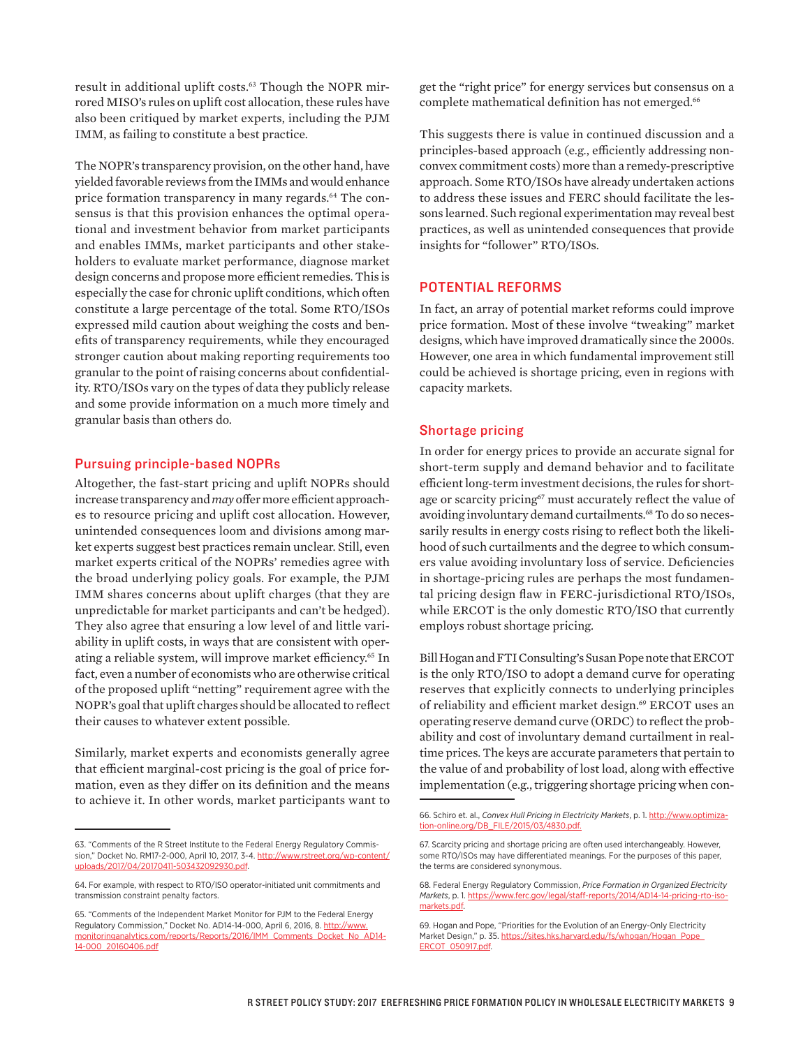result in additional uplift costs.<sup>63</sup> Though the NOPR mirrored MISO's rules on uplift cost allocation, these rules have also been critiqued by market experts, including the PJM IMM, as failing to constitute a best practice.

The NOPR's transparency provision, on the other hand, have yielded favorable reviews from the IMMs and would enhance price formation transparency in many regards.<sup>64</sup> The consensus is that this provision enhances the optimal operational and investment behavior from market participants and enables IMMs, market participants and other stakeholders to evaluate market performance, diagnose market design concerns and propose more efficient remedies. This is especially the case for chronic uplift conditions, which often constitute a large percentage of the total. Some RTO/ISOs expressed mild caution about weighing the costs and benefits of transparency requirements, while they encouraged stronger caution about making reporting requirements too granular to the point of raising concerns about confidentiality. RTO/ISOs vary on the types of data they publicly release and some provide information on a much more timely and granular basis than others do.

#### Pursuing principle-based NOPRs

Altogether, the fast-start pricing and uplift NOPRs should increase transparency and *may* offer more efficient approaches to resource pricing and uplift cost allocation. However, unintended consequences loom and divisions among market experts suggest best practices remain unclear. Still, even market experts critical of the NOPRs' remedies agree with the broad underlying policy goals. For example, the PJM IMM shares concerns about uplift charges (that they are unpredictable for market participants and can't be hedged). They also agree that ensuring a low level of and little variability in uplift costs, in ways that are consistent with operating a reliable system, will improve market efficiency.<sup>65</sup> In fact, even a number of economists who are otherwise critical of the proposed uplift "netting" requirement agree with the NOPR's goal that uplift charges should be allocated to reflect their causes to whatever extent possible.

Similarly, market experts and economists generally agree that efficient marginal-cost pricing is the goal of price formation, even as they differ on its definition and the means to achieve it. In other words, market participants want to get the "right price" for energy services but consensus on a complete mathematical definition has not emerged.<sup>66</sup>

This suggests there is value in continued discussion and a principles-based approach (e.g., efficiently addressing nonconvex commitment costs) more than a remedy-prescriptive approach. Some RTO/ISOs have already undertaken actions to address these issues and FERC should facilitate the lessons learned. Such regional experimentation may reveal best practices, as well as unintended consequences that provide insights for "follower" RTO/ISOs.

#### POTENTIAL REFORMS

In fact, an array of potential market reforms could improve price formation. Most of these involve "tweaking" market designs, which have improved dramatically since the 2000s. However, one area in which fundamental improvement still could be achieved is shortage pricing, even in regions with capacity markets.

#### Shortage pricing

In order for energy prices to provide an accurate signal for short-term supply and demand behavior and to facilitate efficient long-term investment decisions, the rules for shortage or scarcity pricing<sup>67</sup> must accurately reflect the value of avoiding involuntary demand curtailments.<sup>68</sup> To do so necessarily results in energy costs rising to reflect both the likelihood of such curtailments and the degree to which consumers value avoiding involuntary loss of service. Deficiencies in shortage-pricing rules are perhaps the most fundamental pricing design flaw in FERC-jurisdictional RTO/ISOs, while ERCOT is the only domestic RTO/ISO that currently employs robust shortage pricing.

Bill Hogan and FTI Consulting's Susan Pope note that ERCOT is the only RTO/ISO to adopt a demand curve for operating reserves that explicitly connects to underlying principles of reliability and efficient market design.<sup>69</sup> ERCOT uses an operating reserve demand curve (ORDC) to reflect the probability and cost of involuntary demand curtailment in realtime prices. The keys are accurate parameters that pertain to the value of and probability of lost load, along with effective implementation (e.g., triggering shortage pricing when con-

<sup>63. &</sup>quot;Comments of the R Street Institute to the Federal Energy Regulatory Commission," Docket No. RM17-2-000, April 10, 2017, 3-4. [http://www.rstreet.org/wp-content/](http://www.rstreet.org/wp-content/uploads/2017/04/20170411-503432092930.pdf) [uploads/2017/04/20170411-503432092930.pdf](http://www.rstreet.org/wp-content/uploads/2017/04/20170411-503432092930.pdf).

<sup>64.</sup> For example, with respect to RTO/ISO operator-initiated unit commitments and transmission constraint penalty factors.

<sup>65. &</sup>quot;Comments of the Independent Market Monitor for PJM to the Federal Energy Regulatory Commission," Docket No. AD14-14-000, April 6, 2016, 8. [http://www.](http://www.monitoringanalytics.com/reports/Reports/2016/IMM_Comments_Docket_No_AD14-14-000_20160406.pdf) [monitoringanalytics.com/reports/Reports/2016/IMM\\_Comments\\_Docket\\_No\\_AD14-](http://www.monitoringanalytics.com/reports/Reports/2016/IMM_Comments_Docket_No_AD14-14-000_20160406.pdf) [14-000\\_20160406.pdf](http://www.monitoringanalytics.com/reports/Reports/2016/IMM_Comments_Docket_No_AD14-14-000_20160406.pdf)

<sup>66.</sup> Schiro et. al., *Convex Hull Pricing in Electricity Markets*, p. 1. [http://www.optimiza](http://www.optimization-online.org/DB_FILE/2015/03/4830.pdf)[tion-online.org/DB\\_FILE/2015/03/4830.pdf](http://www.optimization-online.org/DB_FILE/2015/03/4830.pdf).

<sup>67.</sup> Scarcity pricing and shortage pricing are often used interchangeably. However, some RTO/ISOs may have differentiated meanings. For the purposes of this paper, the terms are considered synonymous.

<sup>68.</sup> Federal Energy Regulatory Commission, *Price Formation in Organized Electricity Markets*, p. 1. [https://www.ferc.gov/legal/staff-reports/2014/AD14-14-pricing-rto-iso](https://www.ferc.gov/legal/staff-reports/2014/AD14-14-pricing-rto-iso-markets.pdf)[markets.pdf](https://www.ferc.gov/legal/staff-reports/2014/AD14-14-pricing-rto-iso-markets.pdf).

<sup>69.</sup> Hogan and Pope, "Priorities for the Evolution of an Energy-Only Electricity Market Design," p. 35. [https://sites.hks.harvard.edu/fs/whogan/Hogan\\_Pope\\_](https://sites.hks.harvard.edu/fs/whogan/Hogan_Pope_ERCOT_050917.pdf) [ERCOT\\_050917.pdf.](https://sites.hks.harvard.edu/fs/whogan/Hogan_Pope_ERCOT_050917.pdf)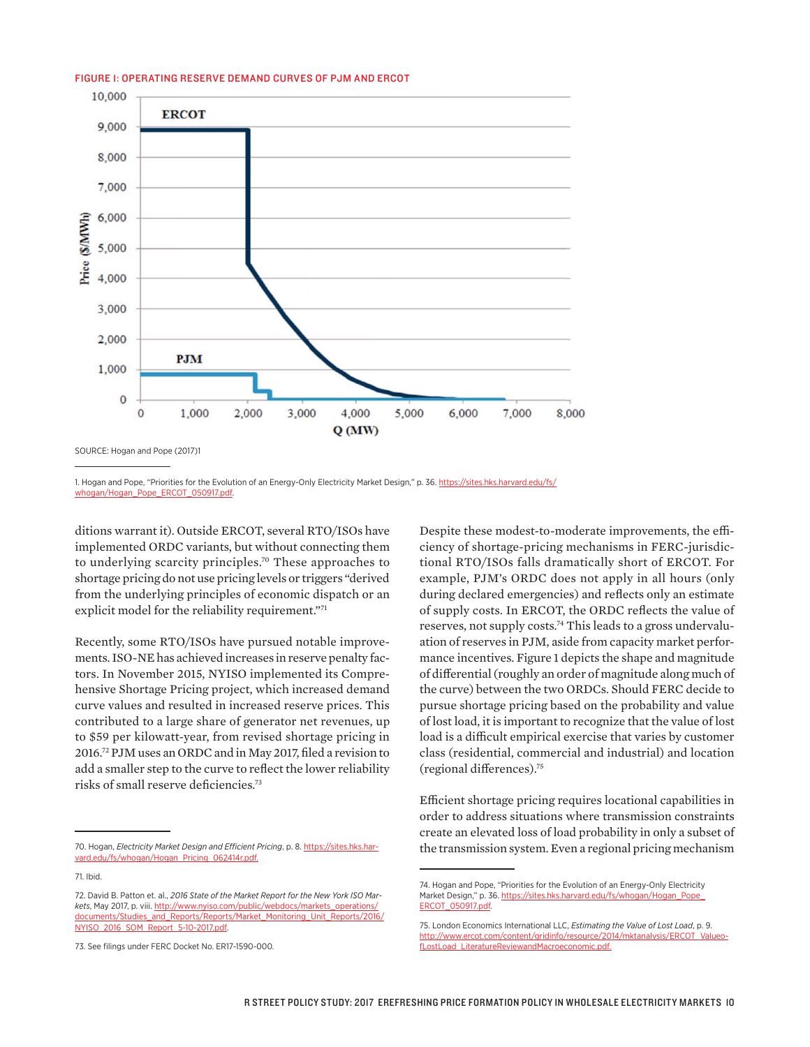#### FIGURE 1: OPERATING RESERVE DEMAND CURVES OF PJM AND ERCOT



SOURCE: Hogan and Pope (2017)1

1. Hogan and Pope, "Priorities for the Evolution of an Energy-Only Electricity Market Design," p. 36. [https://sites.hks.harvard.edu/fs/](https://sites.hks.harvard.edu/fs/whogan/Hogan_Pope_ERCOT_050917.pdf) [whogan/Hogan\\_Pope\\_ERCOT\\_050917.pdf.](https://sites.hks.harvard.edu/fs/whogan/Hogan_Pope_ERCOT_050917.pdf)

ditions warrant it). Outside ERCOT, several RTO/ISOs have implemented ORDC variants, but without connecting them to underlying scarcity principles.70 These approaches to shortage pricing do not use pricing levels or triggers "derived from the underlying principles of economic dispatch or an explicit model for the reliability requirement."71

Recently, some RTO/ISOs have pursued notable improvements. ISO-NE has achieved increases in reserve penalty factors. In November 2015, NYISO implemented its Comprehensive Shortage Pricing project, which increased demand curve values and resulted in increased reserve prices. This contributed to a large share of generator net revenues, up to \$59 per kilowatt-year, from revised shortage pricing in 2016.72 PJM uses an ORDC and in May 2017, filed a revision to add a smaller step to the curve to reflect the lower reliability risks of small reserve deficiencies.73

Despite these modest-to-moderate improvements, the efficiency of shortage-pricing mechanisms in FERC-jurisdictional RTO/ISOs falls dramatically short of ERCOT. For example, PJM's ORDC does not apply in all hours (only during declared emergencies) and reflects only an estimate of supply costs. In ERCOT, the ORDC reflects the value of reserves, not supply costs.74 This leads to a gross undervaluation of reserves in PJM, aside from capacity market performance incentives. Figure 1 depicts the shape and magnitude of differential (roughly an order of magnitude along much of the curve) between the two ORDCs. Should FERC decide to pursue shortage pricing based on the probability and value of lost load, it is important to recognize that the value of lost load is a difficult empirical exercise that varies by customer class (residential, commercial and industrial) and location (regional differences).75

Efficient shortage pricing requires locational capabilities in order to address situations where transmission constraints create an elevated loss of load probability in only a subset of the transmission system. Even a regional pricing mechanism

<sup>70.</sup> Hogan, *Electricity Market Design and Efficient Pricing*, p. 8. [https://sites.hks.har](https://sites.hks.harvard.edu/fs/whogan/Hogan_Pricing_062414r.pdf)[vard.edu/fs/whogan/Hogan\\_Pricing\\_062414r.pdf.](https://sites.hks.harvard.edu/fs/whogan/Hogan_Pricing_062414r.pdf)

<sup>71.</sup> Ibid.

<sup>72.</sup> David B. Patton et. al., *2016 State of the Market Report for the New York ISO Markets*, May 2017, p. viii. [http://www.nyiso.com/public/webdocs/markets\\_operations/](http://www.nyiso.com/public/webdocs/markets_operations/documents/Studies_and_Reports/Reports/Market_Monitoring_Unit_Reports/2016/NYISO_2016_SOM_Report_5-10-2017.pdf) [documents/Studies\\_and\\_Reports/Reports/Market\\_Monitoring\\_Unit\\_Reports/2016/](http://www.nyiso.com/public/webdocs/markets_operations/documents/Studies_and_Reports/Reports/Market_Monitoring_Unit_Reports/2016/NYISO_2016_SOM_Report_5-10-2017.pdf) 2016 SOM Report 5-10-2017.pdf

<sup>73.</sup> See filings under FERC Docket No. ER17-1590-000.

<sup>74.</sup> Hogan and Pope, "Priorities for the Evolution of an Energy-Only Electricity Market Design," p. 36. [https://sites.hks.harvard.edu/fs/whogan/Hogan\\_Pope\\_](https://sites.hks.harvard.edu/fs/whogan/Hogan_Pope_ERCOT_050917.pdf) **ERCOT\_050917** 

<sup>75.</sup> London Economics International LLC, *Estimating the Value of Lost Load*, p. 9. [http://www.ercot.com/content/gridinfo/resource/2014/mktanalysis/ERCOT\\_Valueo](http://www.ercot.com/content/gridinfo/resource/2014/mktanalysis/ERCOT_ValueofLostLoad_LiteratureReviewandMacroeconomic.pdf)[fLostLoad\\_LiteratureReviewandMacroeconomic.pdf.](http://www.ercot.com/content/gridinfo/resource/2014/mktanalysis/ERCOT_ValueofLostLoad_LiteratureReviewandMacroeconomic.pdf)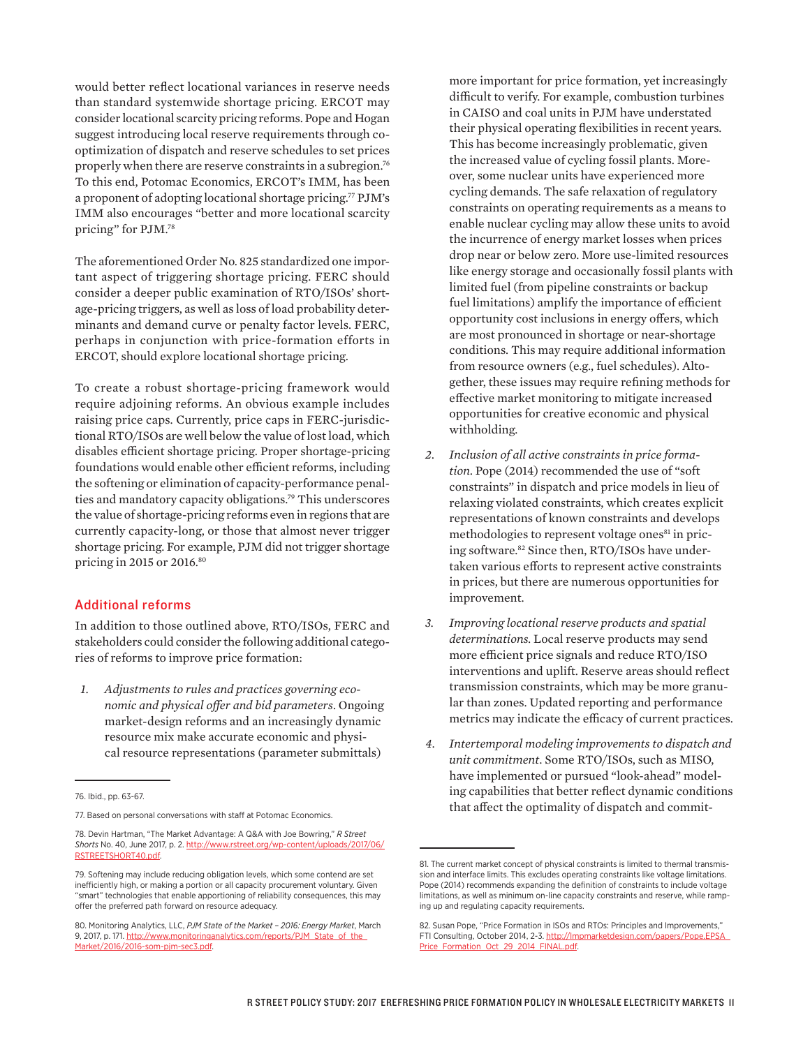would better reflect locational variances in reserve needs than standard systemwide shortage pricing. ERCOT may consider locational scarcity pricing reforms. Pope and Hogan suggest introducing local reserve requirements through cooptimization of dispatch and reserve schedules to set prices properly when there are reserve constraints in a subregion.<sup>76</sup> To this end, Potomac Economics, ERCOT's IMM, has been a proponent of adopting locational shortage pricing.77 PJM's IMM also encourages "better and more locational scarcity pricing" for PJM.78

The aforementioned Order No. 825 standardized one important aspect of triggering shortage pricing. FERC should consider a deeper public examination of RTO/ISOs' shortage-pricing triggers, as well as loss of load probability determinants and demand curve or penalty factor levels. FERC, perhaps in conjunction with price-formation efforts in ERCOT, should explore locational shortage pricing.

To create a robust shortage-pricing framework would require adjoining reforms. An obvious example includes raising price caps. Currently, price caps in FERC-jurisdictional RTO/ISOs are well below the value of lost load, which disables efficient shortage pricing. Proper shortage-pricing foundations would enable other efficient reforms, including the softening or elimination of capacity-performance penalties and mandatory capacity obligations.79 This underscores the value of shortage-pricing reforms even in regions that are currently capacity-long, or those that almost never trigger shortage pricing. For example, PJM did not trigger shortage pricing in 2015 or 2016.80

#### Additional reforms

In addition to those outlined above, RTO/ISOs, FERC and stakeholders could consider the following additional categories of reforms to improve price formation:

*1. Adjustments to rules and practices governing economic and physical offer and bid parameters*. Ongoing market-design reforms and an increasingly dynamic resource mix make accurate economic and physical resource representations (parameter submittals)

more important for price formation, yet increasingly difficult to verify. For example, combustion turbines in CAISO and coal units in PJM have understated their physical operating flexibilities in recent years. This has become increasingly problematic, given the increased value of cycling fossil plants. Moreover, some nuclear units have experienced more cycling demands. The safe relaxation of regulatory constraints on operating requirements as a means to enable nuclear cycling may allow these units to avoid the incurrence of energy market losses when prices drop near or below zero. More use-limited resources like energy storage and occasionally fossil plants with limited fuel (from pipeline constraints or backup fuel limitations) amplify the importance of efficient opportunity cost inclusions in energy offers, which are most pronounced in shortage or near-shortage conditions. This may require additional information from resource owners (e.g., fuel schedules). Altogether, these issues may require refining methods for effective market monitoring to mitigate increased opportunities for creative economic and physical withholding.

- *2. Inclusion of all active constraints in price formation.* Pope (2014) recommended the use of "soft constraints" in dispatch and price models in lieu of relaxing violated constraints, which creates explicit representations of known constraints and develops methodologies to represent voltage ones<sup>81</sup> in pricing software.<sup>82</sup> Since then, RTO/ISOs have undertaken various efforts to represent active constraints in prices, but there are numerous opportunities for improvement.
- *3. Improving locational reserve products and spatial determinations.* Local reserve products may send more efficient price signals and reduce RTO/ISO interventions and uplift. Reserve areas should reflect transmission constraints, which may be more granular than zones. Updated reporting and performance metrics may indicate the efficacy of current practices.
- *4. Intertemporal modeling improvements to dispatch and unit commitment.* Some RTO/ISOs, such as MISO, have implemented or pursued "look-ahead" modeling capabilities that better reflect dynamic conditions that affect the optimality of dispatch and commit-

<sup>76.</sup> Ibid., pp. 63-67.

<sup>77.</sup> Based on personal conversations with staff at Potomac Economics.

<sup>78.</sup> Devin Hartman, "The Market Advantage: A Q&A with Joe Bowring," *R Street Shorts* No. 40, June 2017, p. 2. [http://www.rstreet.org/wp-content/uploads/2017/06/](http://www.rstreet.org/wp-content/uploads/2017/06/RSTREETSHORT40.pdf) [RSTREETSHORT40.pdf.](http://www.rstreet.org/wp-content/uploads/2017/06/RSTREETSHORT40.pdf)

<sup>79.</sup> Softening may include reducing obligation levels, which some contend are set inefficiently high, or making a portion or all capacity procurement voluntary. Given "smart" technologies that enable apportioning of reliability consequences, this may offer the preferred path forward on resource adequacy.

<sup>80.</sup> Monitoring Analytics, LLC, *PJM State of the Market – 2016: Energy Market*, March 9, 2017, p. 171. [http://www.monitoringanalytics.com/reports/PJM\\_State\\_of\\_the\\_](http://www.monitoringanalytics.com/reports/PJM_State_of_the_Market/2016/2016-som-pjm-sec3.pdf) [Market/2016/2016-som-pjm-sec3.pdf](http://www.monitoringanalytics.com/reports/PJM_State_of_the_Market/2016/2016-som-pjm-sec3.pdf).

<sup>81.</sup> The current market concept of physical constraints is limited to thermal transmission and interface limits. This excludes operating constraints like voltage limitations. Pope (2014) recommends expanding the definition of constraints to include voltage limitations, as well as minimum on-line capacity constraints and reserve, while ramping up and regulating capacity requirements.

<sup>82.</sup> Susan Pope, "Price Formation in ISOs and RTOs: Principles and Improvements," FTI Consulting, October 2014, 2-3. [http://lmpmarketdesign.com/papers/Pope.EPSA\\_](http://lmpmarketdesign.com/papers/Pope.EPSA_Price_Formation_Oct_29_2014_FINAL.pdf) [Price\\_Formation\\_Oct\\_29\\_2014\\_FINAL.pdf](http://lmpmarketdesign.com/papers/Pope.EPSA_Price_Formation_Oct_29_2014_FINAL.pdf).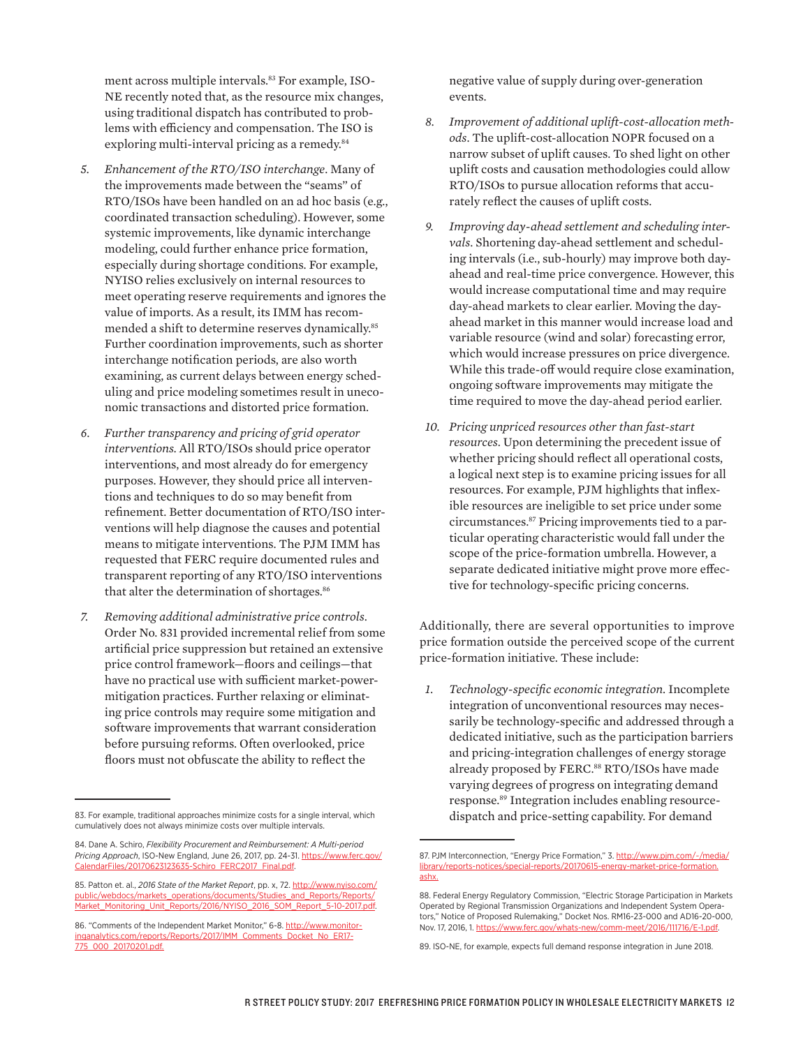ment across multiple intervals.<sup>83</sup> For example, ISO-NE recently noted that, as the resource mix changes, using traditional dispatch has contributed to problems with efficiency and compensation. The ISO is exploring multi-interval pricing as a remedy.<sup>84</sup>

- *5. Enhancement of the RTO/ISO interchange*. Many of the improvements made between the "seams" of RTO/ISOs have been handled on an ad hoc basis (e.g., coordinated transaction scheduling). However, some systemic improvements, like dynamic interchange modeling, could further enhance price formation, especially during shortage conditions. For example, NYISO relies exclusively on internal resources to meet operating reserve requirements and ignores the value of imports. As a result, its IMM has recommended a shift to determine reserves dynamically.<sup>85</sup> Further coordination improvements, such as shorter interchange notification periods, are also worth examining, as current delays between energy scheduling and price modeling sometimes result in uneconomic transactions and distorted price formation.
- *6. Further transparency and pricing of grid operator interventions.* All RTO/ISOs should price operator interventions, and most already do for emergency purposes. However, they should price all interventions and techniques to do so may benefit from refinement. Better documentation of RTO/ISO interventions will help diagnose the causes and potential means to mitigate interventions. The PJM IMM has requested that FERC require documented rules and transparent reporting of any RTO/ISO interventions that alter the determination of shortages.<sup>86</sup>
- *7. Removing additional administrative price controls*. Order No. 831 provided incremental relief from some artificial price suppression but retained an extensive price control framework—floors and ceilings—that have no practical use with sufficient market-powermitigation practices. Further relaxing or eliminating price controls may require some mitigation and software improvements that warrant consideration before pursuing reforms. Often overlooked, price floors must not obfuscate the ability to reflect the

negative value of supply during over-generation events.

- *8. Improvement of additional uplift-cost-allocation methods*. The uplift-cost-allocation NOPR focused on a narrow subset of uplift causes. To shed light on other uplift costs and causation methodologies could allow RTO/ISOs to pursue allocation reforms that accurately reflect the causes of uplift costs.
- *9. Improving day-ahead settlement and scheduling intervals*. Shortening day-ahead settlement and scheduling intervals (i.e., sub-hourly) may improve both dayahead and real-time price convergence. However, this would increase computational time and may require day-ahead markets to clear earlier. Moving the dayahead market in this manner would increase load and variable resource (wind and solar) forecasting error, which would increase pressures on price divergence. While this trade-off would require close examination, ongoing software improvements may mitigate the time required to move the day-ahead period earlier.
- *10. Pricing unpriced resources other than fast-start resources*. Upon determining the precedent issue of whether pricing should reflect all operational costs, a logical next step is to examine pricing issues for all resources. For example, PJM highlights that inflexible resources are ineligible to set price under some circumstances.87 Pricing improvements tied to a particular operating characteristic would fall under the scope of the price-formation umbrella. However, a separate dedicated initiative might prove more effective for technology-specific pricing concerns.

Additionally, there are several opportunities to improve price formation outside the perceived scope of the current price-formation initiative. These include:

*1. Technology-specific economic integration*. Incomplete integration of unconventional resources may necessarily be technology-specific and addressed through a dedicated initiative, such as the participation barriers and pricing-integration challenges of energy storage already proposed by FERC.<sup>88</sup> RTO/ISOs have made varying degrees of progress on integrating demand response.89 Integration includes enabling resourcedispatch and price-setting capability. For demand

<sup>83.</sup> For example, traditional approaches minimize costs for a single interval, which cumulatively does not always minimize costs over multiple intervals.

<sup>84.</sup> Dane A. Schiro, *Flexibility Procurement and Reimbursement: A Multi-period Pricing Approach*, ISO-New England, June 26, 2017, pp. 24-31. [https://www.ferc.gov/](https://www.ferc.gov/CalendarFiles/20170623123635-Schiro_FERC2017_Final.pdf) [CalendarFiles/20170623123635-Schiro\\_FERC2017\\_Final.pdf](https://www.ferc.gov/CalendarFiles/20170623123635-Schiro_FERC2017_Final.pdf).

<sup>85.</sup> Patton et. al., *2016 State of the Market Report*, pp. x, 72. [http://www.nyiso.com/](http://www.nyiso.com/public/webdocs/markets_operations/documents/Studies_and_Reports/Reports/Market_Monitoring_Unit_Reports/2016/NYISO_2016_SOM_Report_5-10-2017.pdf) [public/webdocs/markets\\_operations/documents/Studies\\_and\\_Reports/Reports/](http://www.nyiso.com/public/webdocs/markets_operations/documents/Studies_and_Reports/Reports/Market_Monitoring_Unit_Reports/2016/NYISO_2016_SOM_Report_5-10-2017.pdf) [Market\\_Monitoring\\_Unit\\_Reports/2016/NYISO\\_2016\\_SOM\\_Report\\_5-10-2017.pdf.](http://www.nyiso.com/public/webdocs/markets_operations/documents/Studies_and_Reports/Reports/Market_Monitoring_Unit_Reports/2016/NYISO_2016_SOM_Report_5-10-2017.pdf)

<sup>86. &</sup>quot;Comments of the Independent Market Monitor," 6-8. [http://www.monitor](http://www.monitoringanalytics.com/reports/Reports/2017/IMM_Comments_Docket_No_ER17-775_000_20170201.pdf)[inganalytics.com/reports/Reports/2017/IMM\\_Comments\\_Docket\\_No\\_ER17-](http://www.monitoringanalytics.com/reports/Reports/2017/IMM_Comments_Docket_No_ER17-775_000_20170201.pdf) [775\\_000\\_20170201.pdf](http://www.monitoringanalytics.com/reports/Reports/2017/IMM_Comments_Docket_No_ER17-775_000_20170201.pdf).

<sup>87.</sup> PJM Interconnection, "Energy Price Formation," 3. [http://www.pjm.com/~/media/](http://www.pjm.com/~/media/library/reports-notices/special-reports/20170615-energy-market-price-formation.ashx) [library/reports-notices/special-reports/20170615-energy-market-price-formation.](http://www.pjm.com/~/media/library/reports-notices/special-reports/20170615-energy-market-price-formation.ashx) [ashx](http://www.pjm.com/~/media/library/reports-notices/special-reports/20170615-energy-market-price-formation.ashx).

<sup>88.</sup> Federal Energy Regulatory Commission, "Electric Storage Participation in Markets Operated by Regional Transmission Organizations and Independent System Operators," Notice of Proposed Rulemaking," Docket Nos. RM16-23-000 and AD16-20-000, Nov. 17, 2016, 1. [https://www.ferc.gov/whats-new/comm-meet/2016/111716/E-1.pdf.](https://www.ferc.gov/whats-new/comm-meet/2016/111716/E-1.pdf)

<sup>89.</sup> ISO-NE, for example, expects full demand response integration in June 2018.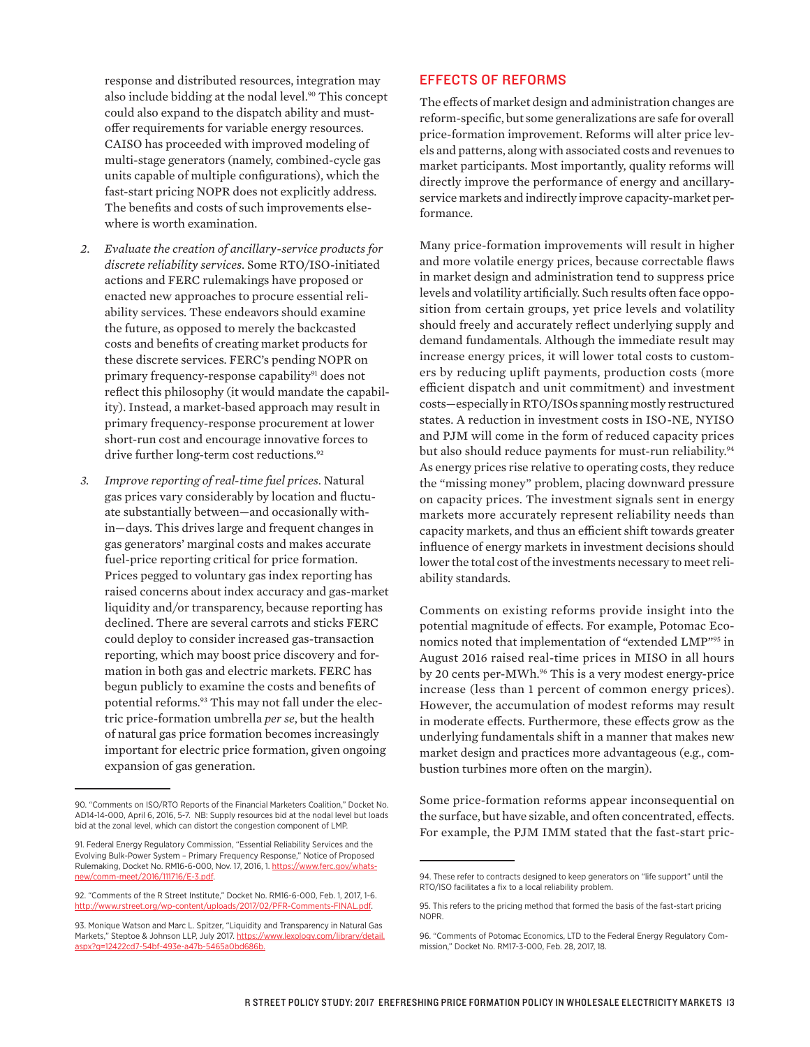response and distributed resources, integration may also include bidding at the nodal level.90 This concept could also expand to the dispatch ability and mustoffer requirements for variable energy resources. CAISO has proceeded with improved modeling of multi-stage generators (namely, combined-cycle gas units capable of multiple configurations), which the fast-start pricing NOPR does not explicitly address. The benefits and costs of such improvements elsewhere is worth examination.

- *2. Evaluate the creation of ancillary-service products for discrete reliability services*. Some RTO/ISO-initiated actions and FERC rulemakings have proposed or enacted new approaches to procure essential reliability services. These endeavors should examine the future, as opposed to merely the backcasted costs and benefits of creating market products for these discrete services. FERC's pending NOPR on primary frequency-response capability<sup>91</sup> does not reflect this philosophy (it would mandate the capability). Instead, a market-based approach may result in primary frequency-response procurement at lower short-run cost and encourage innovative forces to drive further long-term cost reductions.<sup>92</sup>
- *3. Improve reporting of real-time fuel prices*. Natural gas prices vary considerably by location and fluctuate substantially between—and occasionally within—days. This drives large and frequent changes in gas generators' marginal costs and makes accurate fuel-price reporting critical for price formation. Prices pegged to voluntary gas index reporting has raised concerns about index accuracy and gas-market liquidity and/or transparency, because reporting has declined. There are several carrots and sticks FERC could deploy to consider increased gas-transaction reporting, which may boost price discovery and formation in both gas and electric markets. FERC has begun publicly to examine the costs and benefits of potential reforms.<sup>93</sup> This may not fall under the electric price-formation umbrella *per se*, but the health of natural gas price formation becomes increasingly important for electric price formation, given ongoing expansion of gas generation.

#### EFFECTS OF REFORMS

The effects of market design and administration changes are reform-specific, but some generalizations are safe for overall price-formation improvement. Reforms will alter price levels and patterns, along with associated costs and revenues to market participants. Most importantly, quality reforms will directly improve the performance of energy and ancillaryservice markets and indirectly improve capacity-market performance.

Many price-formation improvements will result in higher and more volatile energy prices, because correctable flaws in market design and administration tend to suppress price levels and volatility artificially. Such results often face opposition from certain groups, yet price levels and volatility should freely and accurately reflect underlying supply and demand fundamentals. Although the immediate result may increase energy prices, it will lower total costs to customers by reducing uplift payments, production costs (more efficient dispatch and unit commitment) and investment costs—especially in RTO/ISOs spanning mostly restructured states. A reduction in investment costs in ISO-NE, NYISO and PJM will come in the form of reduced capacity prices but also should reduce payments for must-run reliability.<sup>94</sup> As energy prices rise relative to operating costs, they reduce the "missing money" problem, placing downward pressure on capacity prices. The investment signals sent in energy markets more accurately represent reliability needs than capacity markets, and thus an efficient shift towards greater influence of energy markets in investment decisions should lower the total cost of the investments necessary to meet reliability standards.

Comments on existing reforms provide insight into the potential magnitude of effects. For example, Potomac Economics noted that implementation of "extended LMP"95 in August 2016 raised real-time prices in MISO in all hours by 20 cents per-MWh.<sup>96</sup> This is a very modest energy-price increase (less than 1 percent of common energy prices). However, the accumulation of modest reforms may result in moderate effects. Furthermore, these effects grow as the underlying fundamentals shift in a manner that makes new market design and practices more advantageous (e.g., combustion turbines more often on the margin).

Some price-formation reforms appear inconsequential on the surface, but have sizable, and often concentrated, effects. For example, the PJM IMM stated that the fast-start pric-

<sup>90. &</sup>quot;Comments on ISO/RTO Reports of the Financial Marketers Coalition," Docket No. AD14-14-000, April 6, 2016, 5-7. NB: Supply resources bid at the nodal level but loads bid at the zonal level, which can distort the congestion component of LMP.

<sup>91.</sup> Federal Energy Regulatory Commission, "Essential Reliability Services and the Evolving Bulk-Power System – Primary Frequency Response," Notice of Proposed Rulemaking, Docket No. RM16-6-000, Nov. 17, 2016, 1. [https://www.ferc.gov/whats](https://www.ferc.gov/whats-new/comm-meet/2016/111716/E-3.pdf)[new/comm-meet/2016/111716/E-3.pdf](https://www.ferc.gov/whats-new/comm-meet/2016/111716/E-3.pdf).

<sup>92. &</sup>quot;Comments of the R Street Institute," Docket No. RM16-6-000, Feb. 1, 2017, 1-6. [http://www.rstreet.org/wp-content/uploads/2017/02/PFR-Comments-FINAL.pdf.](http://www.rstreet.org/wp-content/uploads/2017/02/PFR-Comments-FINAL.pdf)

<sup>93.</sup> Monique Watson and Marc L. Spitzer, "Liquidity and Transparency in Natural Gas Markets," Steptoe & Johnson LLP, July 2017. [https://www.lexology.com/library/detail.](https://www.lexology.com/library/detail.aspx?g=12422cd7-54bf-493e-a47b-5465a0bd686b) [aspx?g=12422cd7-54bf-493e-a47b-5465a0bd686b](https://www.lexology.com/library/detail.aspx?g=12422cd7-54bf-493e-a47b-5465a0bd686b).

<sup>94.</sup> These refer to contracts designed to keep generators on "life support" until the RTO/ISO facilitates a fix to a local reliability problem.

<sup>95.</sup> This refers to the pricing method that formed the basis of the fast-start pricing NOPR.

<sup>96. &</sup>quot;Comments of Potomac Economics, LTD to the Federal Energy Regulatory Commission," Docket No. RM17-3-000, Feb. 28, 2017, 18.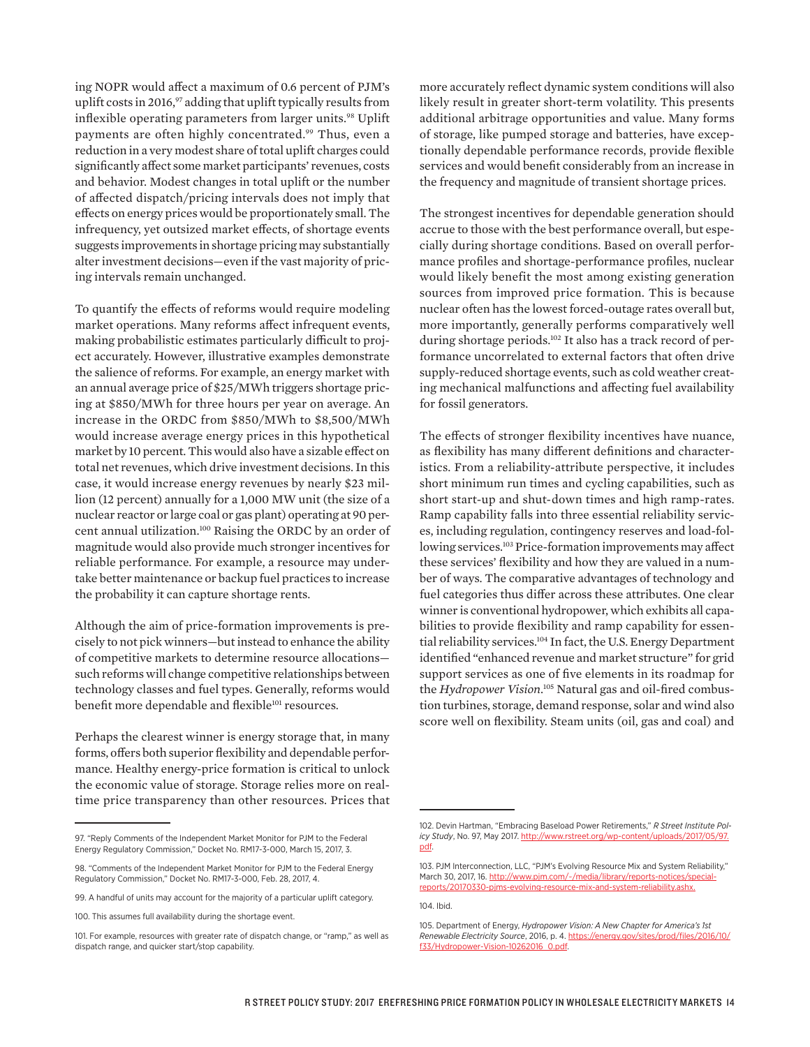ing NOPR would affect a maximum of 0.6 percent of PJM's uplift costs in 2016,97 adding that uplift typically results from inflexible operating parameters from larger units.<sup>98</sup> Uplift payments are often highly concentrated.<sup>99</sup> Thus, even a reduction in a very modest share of total uplift charges could significantly affect some market participants' revenues, costs and behavior. Modest changes in total uplift or the number of affected dispatch/pricing intervals does not imply that effects on energy prices would be proportionately small. The infrequency, yet outsized market effects, of shortage events suggests improvements in shortage pricing may substantially alter investment decisions—even if the vast majority of pricing intervals remain unchanged.

To quantify the effects of reforms would require modeling market operations. Many reforms affect infrequent events, making probabilistic estimates particularly difficult to project accurately. However, illustrative examples demonstrate the salience of reforms. For example, an energy market with an annual average price of \$25/MWh triggers shortage pricing at \$850/MWh for three hours per year on average. An increase in the ORDC from \$850/MWh to \$8,500/MWh would increase average energy prices in this hypothetical market by 10 percent. This would also have a sizable effect on total net revenues, which drive investment decisions. In this case, it would increase energy revenues by nearly \$23 million (12 percent) annually for a 1,000 MW unit (the size of a nuclear reactor or large coal or gas plant) operating at 90 percent annual utilization.100 Raising the ORDC by an order of magnitude would also provide much stronger incentives for reliable performance. For example, a resource may undertake better maintenance or backup fuel practices to increase the probability it can capture shortage rents.

Although the aim of price-formation improvements is precisely to not pick winners—but instead to enhance the ability of competitive markets to determine resource allocations such reforms will change competitive relationships between technology classes and fuel types. Generally, reforms would benefit more dependable and flexible<sup>101</sup> resources.

Perhaps the clearest winner is energy storage that, in many forms, offers both superior flexibility and dependable performance. Healthy energy-price formation is critical to unlock the economic value of storage. Storage relies more on realtime price transparency than other resources. Prices that

more accurately reflect dynamic system conditions will also likely result in greater short-term volatility. This presents additional arbitrage opportunities and value. Many forms of storage, like pumped storage and batteries, have exceptionally dependable performance records, provide flexible services and would benefit considerably from an increase in the frequency and magnitude of transient shortage prices.

The strongest incentives for dependable generation should accrue to those with the best performance overall, but especially during shortage conditions. Based on overall performance profiles and shortage-performance profiles, nuclear would likely benefit the most among existing generation sources from improved price formation. This is because nuclear often has the lowest forced-outage rates overall but, more importantly, generally performs comparatively well during shortage periods.102 It also has a track record of performance uncorrelated to external factors that often drive supply-reduced shortage events, such as cold weather creating mechanical malfunctions and affecting fuel availability for fossil generators.

The effects of stronger flexibility incentives have nuance, as flexibility has many different definitions and characteristics. From a reliability-attribute perspective, it includes short minimum run times and cycling capabilities, such as short start-up and shut-down times and high ramp-rates. Ramp capability falls into three essential reliability services, including regulation, contingency reserves and load-following services.<sup>103</sup> Price-formation improvements may affect these services' flexibility and how they are valued in a number of ways. The comparative advantages of technology and fuel categories thus differ across these attributes. One clear winner is conventional hydropower, which exhibits all capabilities to provide flexibility and ramp capability for essential reliability services.<sup>104</sup> In fact, the U.S. Energy Department identified "enhanced revenue and market structure" for grid support services as one of five elements in its roadmap for the *Hydropower Vision*. 105 Natural gas and oil-fired combustion turbines, storage, demand response, solar and wind also score well on flexibility. Steam units (oil, gas and coal) and

104. Ibid.

<sup>97. &</sup>quot;Reply Comments of the Independent Market Monitor for PJM to the Federal Energy Regulatory Commission," Docket No. RM17-3-000, March 15, 2017, 3.

<sup>98. &</sup>quot;Comments of the Independent Market Monitor for PJM to the Federal Energy Regulatory Commission," Docket No. RM17-3-000, Feb. 28, 2017, 4.

<sup>99.</sup> A handful of units may account for the majority of a particular uplift category.

<sup>100.</sup> This assumes full availability during the shortage event.

<sup>101.</sup> For example, resources with greater rate of dispatch change, or "ramp," as well as dispatch range, and quicker start/stop capability.

<sup>102.</sup> Devin Hartman, "Embracing Baseload Power Retirements," *R Street Institute Policy Study*, No. 97, May 2017. [http://www.rstreet.org/wp-content/uploads/2017/05/97.](http://www.rstreet.org/wp-content/uploads/2017/05/97.pdf) [pdf](http://www.rstreet.org/wp-content/uploads/2017/05/97.pdf).

<sup>103.</sup> PJM Interconnection, LLC, "PJM's Evolving Resource Mix and System Reliability," March 30, 2017, 16. [http://www.pjm.com/~/media/library/reports-notices/special](http://www.pjm.com/~/media/library/reports-notices/special-reports/20170330-pjms-evolving-resource-mix-and-system-reliability.ashx)[reports/20170330-pjms-evolving-resource-mix-and-system-reliability.ashx](http://www.pjm.com/~/media/library/reports-notices/special-reports/20170330-pjms-evolving-resource-mix-and-system-reliability.ashx).

<sup>105.</sup> Department of Energy, *Hydropower Vision: A New Chapter for America's 1st Renewable Electricity Source*, 2016, p. 4. [https://energy.gov/sites/prod/files/2016/10/](https://energy.gov/sites/prod/files/2016/10/f33/Hydropower-Vision-10262016_0.pdf) [f33/Hydropower-Vision-10262016\\_0.pdf.](https://energy.gov/sites/prod/files/2016/10/f33/Hydropower-Vision-10262016_0.pdf)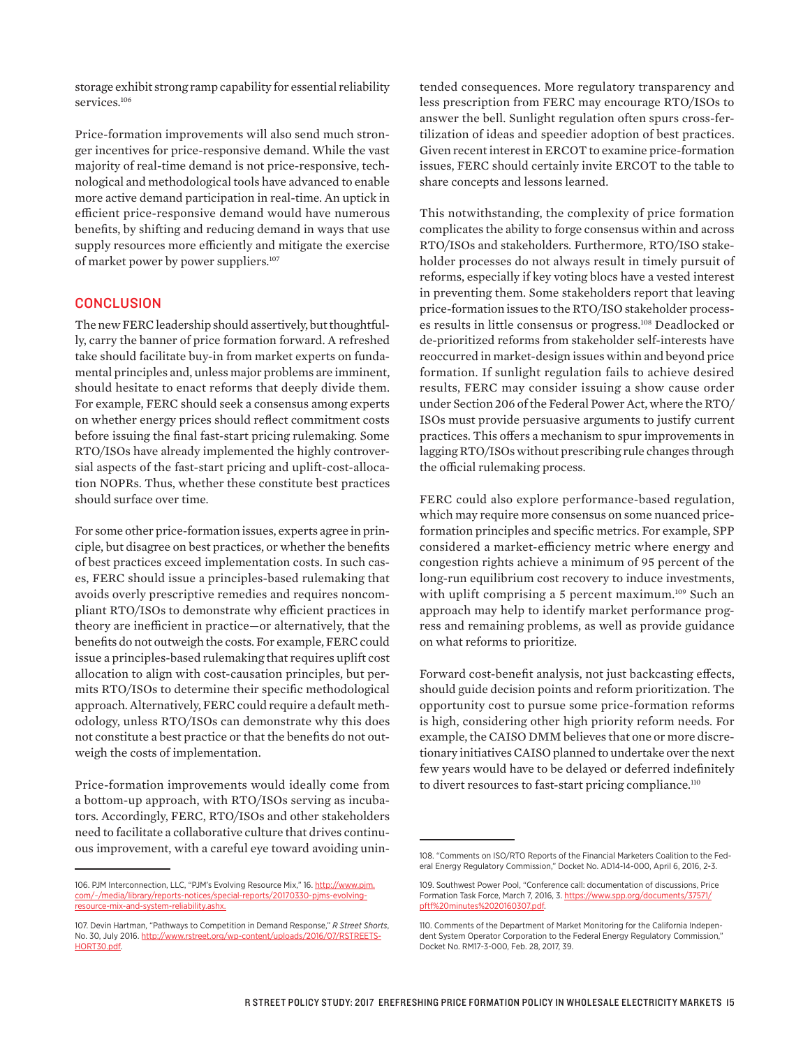storage exhibit strong ramp capability for essential reliability services.<sup>106</sup>

Price-formation improvements will also send much stronger incentives for price-responsive demand. While the vast majority of real-time demand is not price-responsive, technological and methodological tools have advanced to enable more active demand participation in real-time. An uptick in efficient price-responsive demand would have numerous benefits, by shifting and reducing demand in ways that use supply resources more efficiently and mitigate the exercise of market power by power suppliers.<sup>107</sup>

#### **CONCLUSION**

The new FERC leadership should assertively, but thoughtfully, carry the banner of price formation forward. A refreshed take should facilitate buy-in from market experts on fundamental principles and, unless major problems are imminent, should hesitate to enact reforms that deeply divide them. For example, FERC should seek a consensus among experts on whether energy prices should reflect commitment costs before issuing the final fast-start pricing rulemaking. Some RTO/ISOs have already implemented the highly controversial aspects of the fast-start pricing and uplift-cost-allocation NOPRs. Thus, whether these constitute best practices should surface over time.

For some other price-formation issues, experts agree in principle, but disagree on best practices, or whether the benefits of best practices exceed implementation costs. In such cases, FERC should issue a principles-based rulemaking that avoids overly prescriptive remedies and requires noncompliant RTO/ISOs to demonstrate why efficient practices in theory are inefficient in practice—or alternatively, that the benefits do not outweigh the costs. For example, FERC could issue a principles-based rulemaking that requires uplift cost allocation to align with cost-causation principles, but permits RTO/ISOs to determine their specific methodological approach. Alternatively, FERC could require a default methodology, unless RTO/ISOs can demonstrate why this does not constitute a best practice or that the benefits do not outweigh the costs of implementation.

Price-formation improvements would ideally come from a bottom-up approach, with RTO/ISOs serving as incubators. Accordingly, FERC, RTO/ISOs and other stakeholders need to facilitate a collaborative culture that drives continuous improvement, with a careful eye toward avoiding unin-

tended consequences. More regulatory transparency and less prescription from FERC may encourage RTO/ISOs to answer the bell. Sunlight regulation often spurs cross-fertilization of ideas and speedier adoption of best practices. Given recent interest in ERCOT to examine price-formation issues, FERC should certainly invite ERCOT to the table to share concepts and lessons learned.

This notwithstanding, the complexity of price formation complicates the ability to forge consensus within and across RTO/ISOs and stakeholders. Furthermore, RTO/ISO stakeholder processes do not always result in timely pursuit of reforms, especially if key voting blocs have a vested interest in preventing them. Some stakeholders report that leaving price-formation issues to the RTO/ISO stakeholder processes results in little consensus or progress.108 Deadlocked or de-prioritized reforms from stakeholder self-interests have reoccurred in market-design issues within and beyond price formation. If sunlight regulation fails to achieve desired results, FERC may consider issuing a show cause order under Section 206 of the Federal Power Act, where the RTO/ ISOs must provide persuasive arguments to justify current practices. This offers a mechanism to spur improvements in lagging RTO/ISOs without prescribing rule changes through the official rulemaking process.

FERC could also explore performance-based regulation, which may require more consensus on some nuanced priceformation principles and specific metrics. For example, SPP considered a market-efficiency metric where energy and congestion rights achieve a minimum of 95 percent of the long-run equilibrium cost recovery to induce investments, with uplift comprising a 5 percent maximum.<sup>109</sup> Such an approach may help to identify market performance progress and remaining problems, as well as provide guidance on what reforms to prioritize.

Forward cost-benefit analysis, not just backcasting effects, should guide decision points and reform prioritization. The opportunity cost to pursue some price-formation reforms is high, considering other high priority reform needs. For example, the CAISO DMM believes that one or more discretionary initiatives CAISO planned to undertake over the next few years would have to be delayed or deferred indefinitely to divert resources to fast-start pricing compliance.<sup>110</sup>

<sup>106.</sup> PJM Interconnection, LLC, "PJM's Evolving Resource Mix," 16. [http://www.pjm.](http://www.pjm.com/~/media/library/reports-notices/special-reports/20170330-pjms-evolving-resource-mix-and-system-reliability.ashx) [com/~/media/library/reports-notices/special-reports/20170330-pjms-evolving](http://www.pjm.com/~/media/library/reports-notices/special-reports/20170330-pjms-evolving-resource-mix-and-system-reliability.ashx)[resource-mix-and-system-reliability.ashx](http://www.pjm.com/~/media/library/reports-notices/special-reports/20170330-pjms-evolving-resource-mix-and-system-reliability.ashx).

<sup>107.</sup> Devin Hartman, "Pathways to Competition in Demand Response," *R Street Shorts*, No. 30, July 2016. [http://www.rstreet.org/wp-content/uploads/2016/07/RSTREETS-](http://www.rstreet.org/wp-content/uploads/2016/07/RSTREETSHORT30.pdf)[HORT30.pdf](http://www.rstreet.org/wp-content/uploads/2016/07/RSTREETSHORT30.pdf).

<sup>108. &</sup>quot;Comments on ISO/RTO Reports of the Financial Marketers Coalition to the Federal Energy Regulatory Commission," Docket No. AD14-14-000, April 6, 2016, 2-3.

<sup>109.</sup> Southwest Power Pool, "Conference call: documentation of discussions, Price Formation Task Force, March 7, 2016, 3. [https://www.spp.org/documents/37571/](https://www.spp.org/documents/37571/pftf%20minutes%2020160307.pdf) [pftf%20minutes%2020160307.pdf](https://www.spp.org/documents/37571/pftf%20minutes%2020160307.pdf).

<sup>110.</sup> Comments of the Department of Market Monitoring for the California Independent System Operator Corporation to the Federal Energy Regulatory Commission," Docket No. RM17-3-000, Feb. 28, 2017, 39.